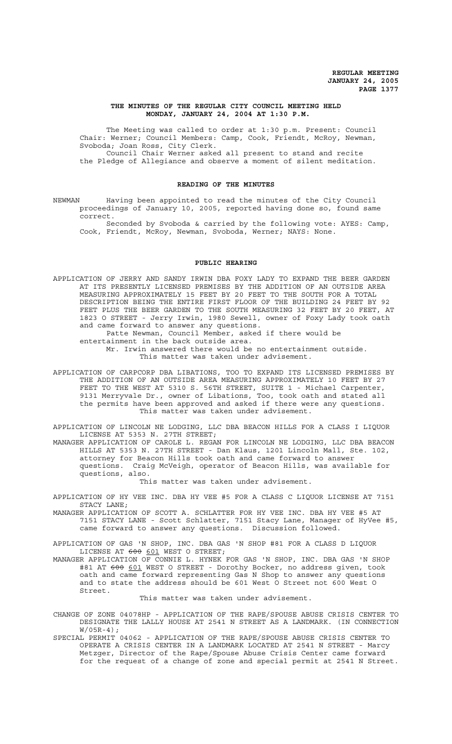#### **THE MINUTES OF THE REGULAR CITY COUNCIL MEETING HELD MONDAY, JANUARY 24, 2004 AT 1:30 P.M.**

The Meeting was called to order at 1:30 p.m. Present: Council Chair: Werner; Council Members: Camp, Cook, Friendt, McRoy, Newman, Svoboda; Joan Ross, City Clerk. Council Chair Werner asked all present to stand and recite the Pledge of Allegiance and observe a moment of silent meditation.

#### **READING OF THE MINUTES**

NEWMAN Having been appointed to read the minutes of the City Council proceedings of January 10, 2005, reported having done so, found same correct.

Seconded by Svoboda & carried by the following vote: AYES: Camp, Cook, Friendt, McRoy, Newman, Svoboda, Werner; NAYS: None.

#### **PUBLIC HEARING**

APPLICATION OF JERRY AND SANDY IRWIN DBA FOXY LADY TO EXPAND THE BEER GARDEN AT ITS PRESENTLY LICENSED PREMISES BY THE ADDITION OF AN OUTSIDE AREA MEASURING APPROXIMATELY 15 FEET BY 20 FEET TO THE SOUTH FOR A TOTAL DESCRIPTION BEING THE ENTIRE FIRST FLOOR OF THE BUILDING 24 FEET BY 92 FEET PLUS THE BEER GARDEN TO THE SOUTH MEASURING 32 FEET BY 20 FEET, AT 1823 O STREET - Jerry Irwin, 1980 Sewell, owner of Foxy Lady took oath and came forward to answer any questions.

Patte Newman, Council Member, asked if there would be entertainment in the back outside area.

Mr. Irwin answered there would be no entertainment outside. This matter was taken under advisement.

APPLICATION OF CARPCORP DBA LIBATIONS, TOO TO EXPAND ITS LICENSED PREMISES BY THE ADDITION OF AN OUTSIDE AREA MEASURING APPROXIMATELY 10 FEET BY 27 FEET TO THE WEST AT 5310 S. 56TH STREET, SUITE 1 - Michael Carpenter, 9131 Merryvale Dr., owner of Libations, Too, took oath and stated all the permits have been approved and asked if there were any questions. This matter was taken under advisement.

APPLICATION OF LINCOLN NE LODGING, LLC DBA BEACON HILLS FOR A CLASS I LIQUOR LICENSE AT 5353 N. 27TH STREET;

MANAGER APPLICATION OF CAROLE L. REGAN FOR LINCOLN NE LODGING, LLC DBA BEACON HILLS AT 5353 N. 27TH STREET - Dan Klaus, 1201 Lincoln Mall, Ste. 102, attorney for Beacon Hills took oath and came forward to answer questions. Craig McVeigh, operator of Beacon Hills, was available for questions, also.

This matter was taken under advisement.

APPLICATION OF HY VEE INC. DBA HY VEE #5 FOR A CLASS C LIQUOR LICENSE AT 7151 STACY LANE;

MANAGER APPLICATION OF SCOTT A. SCHLATTER FOR HY VEE INC. DBA HY VEE #5 AT 7151 STACY LANE - Scott Schlatter, 7151 Stacy Lane, Manager of HyVee #5, came forward to answer any questions. Discussion followed.

APPLICATION OF GAS 'N SHOP, INC. DBA GAS 'N SHOP #81 FOR A CLASS D LIQUOR LICENSE AT 600 601 WEST O STREET;

MANAGER APPLICATION OF CONNIE L. HYNEK FOR GAS 'N SHOP, INC. DBA GAS 'N SHOP #81 AT 600 601 WEST O STREET - Dorothy Bocker, no address given, took oath and came forward representing Gas N Shop to answer any questions and to state the address should be 601 West O Street not 600 West O Street.

This matter was taken under advisement.

- CHANGE OF ZONE 04078HP APPLICATION OF THE RAPE/SPOUSE ABUSE CRISIS CENTER TO DESIGNATE THE LALLY HOUSE AT 2541 N STREET AS A LANDMARK. (IN CONNECTION W/05R-4);
- SPECIAL PERMIT 04062 APPLICATION OF THE RAPE/SPOUSE ABUSE CRISIS CENTER TO OPERATE A CRISIS CENTER IN A LANDMARK LOCATED AT 2541 N STREET - Marcy Metzger, Director of the Rape/Spouse Abuse Crisis Center came forward for the request of a change of zone and special permit at 2541 N Street.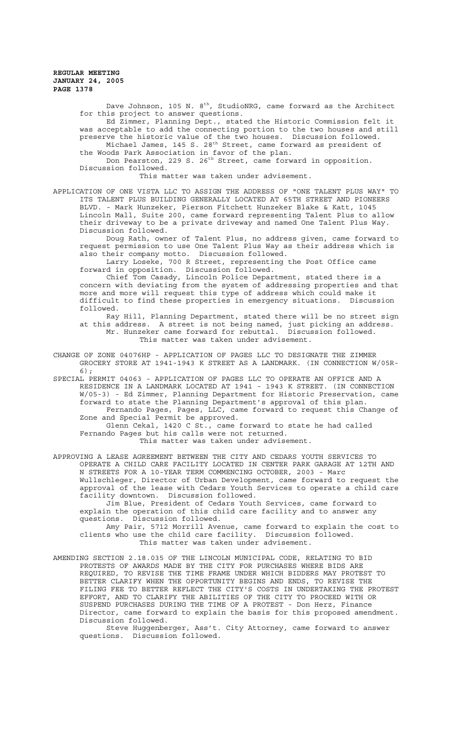Dave Johnson, 105 N.  $8<sup>th</sup>$ , StudioNRG, came forward as the Architect for this project to answer questions.

Ed Zimmer, Planning Dept., stated the Historic Commission felt it was acceptable to add the connecting portion to the two houses and still preserve the historic value of the two houses. Discussion followed.

Michael James, 145 S. 28<sup>th</sup> Street, came forward as president of the Woods Park Association in favor of the plan. Don Pearston, 229 S. 26<sup>th</sup> Street, came forward in opposition.

Discussion followed.

This matter was taken under advisement.

APPLICATION OF ONE VISTA LLC TO ASSIGN THE ADDRESS OF "ONE TALENT PLUS WAY" TO ITS TALENT PLUS BUILDING GENERALLY LOCATED AT 65TH STREET AND PIONEERS BLVD. - Mark Hunzeker, Pierson Fitchett Hunzeker Blake & Katt, 1045 Lincoln Mall, Suite 200, came forward representing Talent Plus to allow their driveway to be a private driveway and named One Talent Plus Way. Discussion followed.

Doug Rath, owner of Talent Plus, no address given, came forward to request permission to use One Talent Plus Way as their address which is also their company motto. Discussion followed.

Larry Loseke, 700 R Street, representing the Post Office came forward in opposition. Discussion followed.

Chief Tom Casady, Lincoln Police Department, stated there is a concern with deviating from the system of addressing properties and that more and more will request this type of address which could make it difficult to find these properties in emergency situations. Discussion followed.

Ray Hill, Planning Department, stated there will be no street sign at this address. A street is not being named, just picking an address. Mr. Hunzeker came forward for rebuttal. Discussion followed. This matter was taken under advisement.

CHANGE OF ZONE 04076HP - APPLICATION OF PAGES LLC TO DESIGNATE THE ZIMMER GROCERY STORE AT 1941-1943 K STREET AS A LANDMARK. (IN CONNECTION W/05R-6);

SPECIAL PERMIT 04063 - APPLICATION OF PAGES LLC TO OPERATE AN OFFICE AND A RESIDENCE IN A LANDMARK LOCATED AT 1941 - 1943 K STREET. (IN CONNECTION W/05-3) - Ed Zimmer, Planning Department for Historic Preservation, came forward to state the Planning Department's approval of this plan. Fernando Pages, Pages, LLC, came forward to request this Change of Zone and Special Permit be approved.

Glenn Cekal, 1420 C St., came forward to state he had called Fernando Pages but his calls were not returned. This matter was taken under advisement.

APPROVING A LEASE AGREEMENT BETWEEN THE CITY AND CEDARS YOUTH SERVICES TO OPERATE A CHILD CARE FACILITY LOCATED IN CENTER PARK GARAGE AT 12TH AND N STREETS FOR A 10-YEAR TERM COMMENCING OCTOBER, 2003 - Marc Wullschleger, Director of Urban Development, came forward to request the approval of the lease with Cedars Youth Services to operate a child care facility downtown. Discussion followed.

Jim Blue, President of Cedars Youth Services, came forward to explain the operation of this child care facility and to answer any questions. Discussion followed.

Amy Pair, 5712 Morrill Avenue, came forward to explain the cost to clients who use the child care facility. Discussion followed. This matter was taken under advisement.

AMENDING SECTION 2.18.035 OF THE LINCOLN MUNICIPAL CODE, RELATING TO BID PROTESTS OF AWARDS MADE BY THE CITY FOR PURCHASES WHERE BIDS ARE REQUIRED, TO REVISE THE TIME FRAME UNDER WHICH BIDDERS MAY PROTEST TO BETTER CLARIFY WHEN THE OPPORTUNITY BEGINS AND ENDS, TO REVISE THE FILING FEE TO BETTER REFLECT THE CITY'S COSTS IN UNDERTAKING THE PROTEST EFFORT, AND TO CLARIFY THE ABILITIES OF THE CITY TO PROCEED WITH OR SUSPEND PURCHASES DURING THE TIME OF A PROTEST - Don Herz, Finance Director, came forward to explain the basis for this proposed amendment. Discussion followed.

Steve Huggenberger, Ass't. City Attorney, came forward to answer questions. Discussion followed.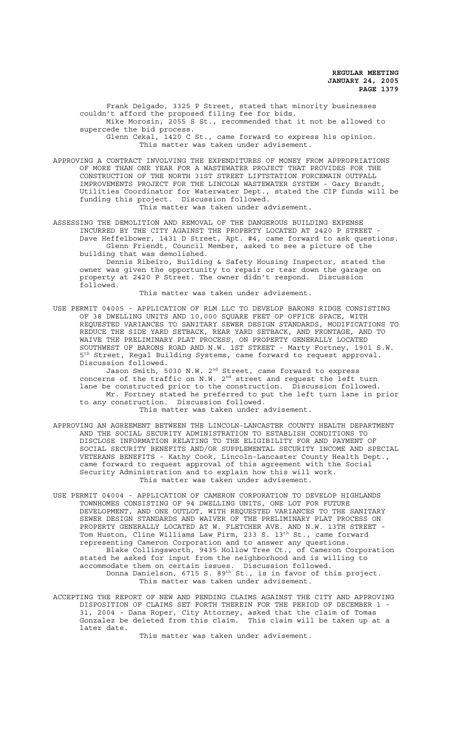Frank Delgado, 3325 P Street, stated that minority businesses couldn't afford the proposed filing fee for bids. Mike Morosin, 2055 S St., recommended that it not be allowed to

supercede the bid process. Glenn Cekal, 1420 C St., came forward to express his opinion.

This matter was taken under advisement.

APPROVING A CONTRACT INVOLVING THE EXPENDITURES OF MONEY FROM APPROPRIATIONS OF MORE THAN ONE YEAR FOR A WASTEWATER PROJECT THAT PROVIDES FOR THE CONSTRUCTION OF THE NORTH 31ST STREET LIFTSTATION FORCEMAIN OUTFALL IMPROVEMENTS PROJECT FOR THE LINCOLN WASTEWATER SYSTEM - Gary Brandt, Utilities Coordinator for Waterwater Dept., stated the CIP funds will be funding this project. Discussion followed. This matter was taken under advisement.

ASSESSING THE DEMOLITION AND REMOVAL OF THE DANGEROUS BUILDING EXPENSE INCURRED BY THE CITY AGAINST THE PROPERTY LOCATED AT 2420 P STREET - Dave Heffelbower, 1431 D Street, Apt. #4, came forward to ask questions. Glenn Friendt, Council Member, asked to see a picture of the building that was demolished.

Dennis Ribeiro, Building & Safety Housing Inspector, stated the owner was given the opportunity to repair or tear down the garage on property at 2420 P Street. The owner didn't respond. Discussion followed.

This matter was taken under advisement.

USE PERMIT 04005 - APPLICATION OF RLM LLC TO DEVELOP BARONS RIDGE CONSISTING OF 38 DWELLING UNITS AND 10,000 SQUARE FEET OF OFFICE SPACE, WITH REQUESTED VARIANCES TO SANITARY SEWER DESIGN STANDARDS, MODIFICATIONS TO REDUCE THE SIDE YARD SETBACK, REAR YARD SETBACK, AND FRONTAGE, AND TO WAIVE THE PRELIMINARY PLAT PROCESS, ON PROPERTY GENERALLY LOCATED SOUTHWEST OF BARONS ROAD AND N.W. 1ST STREET - Marty Fortney, 1901 S.W. 5th Street, Regal Building Systems, came forward to request approval. Discussion followed.

Jason Smith, 5030 N.W. 2<sup>nd</sup> Street, came forward to express concerns of the traffic on N.W.  $2<sup>nd</sup>$  street and request the left turn lane be constructed prior to the construction. Discussion followed. Mr. Fortney stated he preferred to put the left turn lane in prior to any construction. Discussion followed.

This matter was taken under advisement.

- APPROVING AN AGREEMENT BETWEEN THE LINCOLN-LANCASTER COUNTY HEALTH DEPARTMENT AND THE SOCIAL SECURITY ADMINISTRATION TO ESTABLISH CONDITIONS TO DISCLOSE INFORMATION RELATING TO THE ELIGIBILITY FOR AND PAYMENT OF SOCIAL SECURITY BENEFITS AND/OR SUPPLEMENTAL SECURITY INCOME AND SPECIAL VETERANS BENEFITS - Kathy Cook, Lincoln-Lancaster County Health Dept., came forward to request approval of this agreement with the Social Security Administration and to explain how this will work. This matter was taken under advisement.
- USE PERMIT 04004 APPLICATION OF CAMERON CORPORATION TO DEVELOP HIGHLANDS TOWNHOMES CONSISTING OF 94 DWELLING UNITS, ONE LOT FOR FUTURE DEVELOPMENT, AND ONE OUTLOT, WITH REQUESTED VARIANCES TO THE SANITARY SEWER DESIGN STANDARDS AND WAIVER OF THE PRELIMINARY PLAT PROCESS ON PROPERTY GENERALLY LOCATED AT W. FLETCHER AVE. AND N.W. 13TH STREET - Tom Huston, Cline Williams Law Firm, 233 S. 13<sup>th</sup> St., came forward representing Cameron Corporation and to answer any questions. Blake Collingsworth, 9435 Hollow Tree Ct., of Cameron Corporation stated he asked for input from the neighborhood and is willing to accommodate them on certain issues. Discussion followed. Donna Danielson, 6715 S. 89<sup>th</sup> St., is in favor of this project. This matter was taken under advisement.
- ACCEPTING THE REPORT OF NEW AND PENDING CLAIMS AGAINST THE CITY AND APPROVING DISPOSITION OF CLAIMS SET FORTH THEREIN FOR THE PERIOD OF DECEMBER 1 - 31, 2004 - Dana Roper, City Attorney, asked that the claim of Tomas Gonzalez be deleted from this claim. This claim will be taken up at a later date.

This matter was taken under advisement.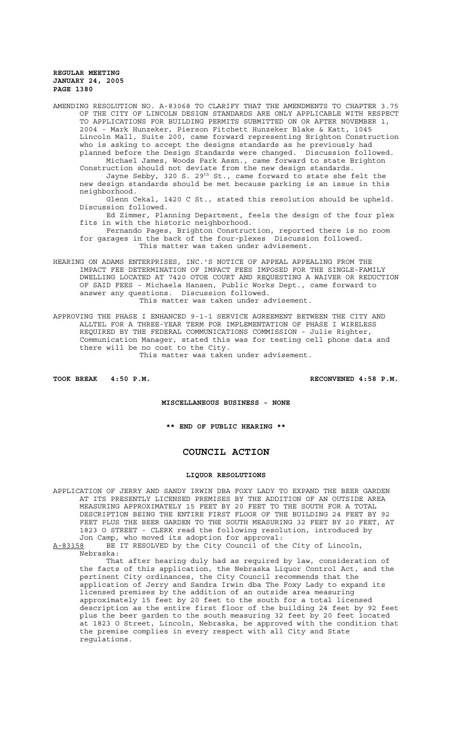AMENDING RESOLUTION NO. A-83068 TO CLARIFY THAT THE AMENDMENTS TO CHAPTER 3.75 OF THE CITY OF LINCOLN DESIGN STANDARDS ARE ONLY APPLICABLE WITH RESPECT TO APPLICATIONS FOR BUILDING PERMITS SUBMITTED ON OR AFTER NOVEMBER 1, 2004 - Mark Hunzeker, Pierson Fitchett Hunzeker Blake & Katt, 1045 Lincoln Mall, Suite 200, came forward representing Brighton Construction who is asking to accept the designs standards as he previously had planned before the Design Standards were changed. Discussion followed. Michael James, Woods Park Assn., came forward to state Brighton Construction should not deviate from the new design standards. Jayne Sebby, 320 S. 29 $^{\rm th}$  St., came forward to state she felt the new design standards should be met because parking is an issue in this neighborhood. Glenn Cekal, 1420 C St., stated this resolution should be upheld. Discussion followed. Ed Zimmer, Planning Department, feels the design of the four plex fits in with the historic neighborhood. Fernando Pages, Brighton Construction, reported there is no room for garages in the back of the four-plexes Discussion followed. This matter was taken under advisement. HEARING ON ADAMS ENTERPRISES, INC.'S NOTICE OF APPEAL APPEALING FROM THE IMPACT FEE DETERMINATION OF IMPACT FEES IMPOSED FOR THE SINGLE-FAMILY DWELLING LOCATED AT 7420 OTOE COURT AND REQUESTING A WAIVER OR REDUCTION OF SAID FEES - Michaela Hansen, Public Works Dept., came forward to

answer any questions. Discussion followed. This matter was taken under advisement. APPROVING THE PHASE I ENHANCED 9-1-1 SERVICE AGREEMENT BETWEEN THE CITY AND ALLTEL FOR A THREE-YEAR TERM FOR IMPLEMENTATION OF PHASE I WIRELESS

REQUIRED BY THE FEDERAL COMMUNICATIONS COMMISSION - Julie Righter, Communication Manager, stated this was for testing cell phone data and there will be no cost to the City. This matter was taken under advisement.

**TOOK BREAK 4:50 P.M. RECONVENED 4:58 P.M.**

# **MISCELLANEOUS BUSINESS - NONE**

**\*\* END OF PUBLIC HEARING \*\***

# **COUNCIL ACTION**

#### **LIQUOR RESOLUTIONS**

APPLICATION OF JERRY AND SANDY IRWIN DBA FOXY LADY TO EXPAND THE BEER GARDEN AT ITS PRESENTLY LICENSED PREMISES BY THE ADDITION OF AN OUTSIDE AREA MEASURING APPROXIMATELY 15 FEET BY 20 FEET TO THE SOUTH FOR A TOTAL DESCRIPTION BEING THE ENTIRE FIRST FLOOR OF THE BUILDING 24 FEET BY 92 FEET PLUS THE BEER GARDEN TO THE SOUTH MEASURING 32 FEET BY 20 FEET, AT 1823 O STREET - CLERK read the following resolution, introduced by Jon Camp, who moved its adoption for approval:

A-83158 BE IT RESOLVED by the City Council of the City of Lincoln, Nebraska:

That after hearing duly had as required by law, consideration of the facts of this application, the Nebraska Liquor Control Act, and the pertinent City ordinances, the City Council recommends that the application of Jerry and Sandra Irwin dba The Foxy Lady to expand its licensed premises by the addition of an outside area measuring approximately 15 feet by 20 feet to the south for a total licensed description as the entire first floor of the building 24 feet by 92 feet plus the beer garden to the south measuring 32 feet by 20 feet located at 1823 O Street, Lincoln, Nebraska, be approved with the condition that the premise complies in every respect with all City and State regulations.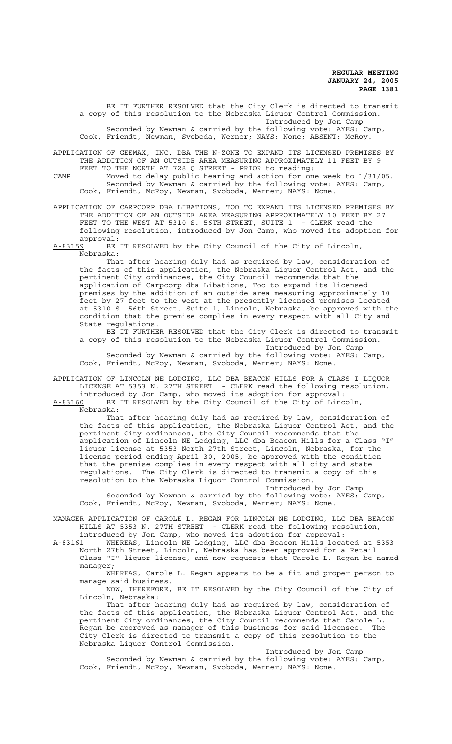BE IT FURTHER RESOLVED that the City Clerk is directed to transmit a copy of this resolution to the Nebraska Liquor Control Commission. Introduced by Jon Camp Seconded by Newman & carried by the following vote: AYES: Camp, Cook, Friendt, Newman, Svoboda, Werner; NAYS: None; ABSENT: McRoy.

APPLICATION OF GEEMAX, INC. DBA THE N-ZONE TO EXPAND ITS LICENSED PREMISES BY THE ADDITION OF AN OUTSIDE AREA MEASURING APPROXIMATELY 11 FEET BY 9 FEET TO THE NORTH AT 728 Q STREET - PRIOR to reading:

CAMP Moved to delay public hearing and action for one week to 1/31/05. Seconded by Newman & carried by the following vote: AYES: Camp, Cook, Friendt, McRoy, Newman, Svoboda, Werner; NAYS: None.

APPLICATION OF CARPCORP DBA LIBATIONS, TOO TO EXPAND ITS LICENSED PREMISES BY THE ADDITION OF AN OUTSIDE AREA MEASURING APPROXIMATELY 10 FEET BY 27 FEET TO THE WEST AT 5310 S. 56TH STREET, SUITE 1 - CLERK read the following resolution, introduced by Jon Camp, who moved its adoption for approval:<br><u>A-83159</u> BE

BE IT RESOLVED by the City Council of the City of Lincoln, Nebraska:

That after hearing duly had as required by law, consideration of the facts of this application, the Nebraska Liquor Control Act, and the pertinent City ordinances, the City Council recommends that the application of Carpcorp dba Libations, Too to expand its licensed premises by the addition of an outside area measuring approximately 10 feet by 27 feet to the west at the presently licensed premises located at 5310 S. 56th Street, Suite 1, Lincoln, Nebraska, be approved with the condition that the premise complies in every respect with all City and State regulations.

BE IT FURTHER RESOLVED that the City Clerk is directed to transmit a copy of this resolution to the Nebraska Liquor Control Commission. Introduced by Jon Camp

Seconded by Newman & carried by the following vote: AYES: Camp, Cook, Friendt, McRoy, Newman, Svoboda, Werner; NAYS: None.

APPLICATION OF LINCOLN NE LODGING, LLC DBA BEACON HILLS FOR A CLASS I LIQUOR LICENSE AT 5353 N. 27TH STREET - CLERK read the following resolution, introduced by Jon Camp, who moved its adoption for approval:

A-83160 BE IT RESOLVED by the City Council of the City of Lincoln, Nebraska:

That after hearing duly had as required by law, consideration of the facts of this application, the Nebraska Liquor Control Act, and the pertinent City ordinances, the City Council recommends that the application of Lincoln NE Lodging, LLC dba Beacon Hills for a Class "I" liquor license at 5353 North 27th Street, Lincoln, Nebraska, for the license period ending April 30, 2005, be approved with the condition that the premise complies in every respect with all city and state regulations. The City Clerk is directed to transmit a copy of this resolution to the Nebraska Liquor Control Commission.

Introduced by Jon Camp Seconded by Newman & carried by the following vote: AYES: Camp, Cook, Friendt, McRoy, Newman, Svoboda, Werner; NAYS: None.

MANAGER APPLICATION OF CAROLE L. REGAN FOR LINCOLN NE LODGING, LLC DBA BEACON HILLS AT 5353 N. 27TH STREET - CLERK read the following resolution, introduced by Jon Camp, who moved its adoption for approval:

A-83161 WHEREAS, Lincoln NE Lodging, LLC dba Beacon Hills located at 5353 North 27th Street, Lincoln, Nebraska has been approved for a Retail Class "I" liquor license, and now requests that Carole L. Regan be named manager;

WHEREAS, Carole L. Regan appears to be a fit and proper person to manage said business.

NOW, THEREFORE, BE IT RESOLVED by the City Council of the City of Lincoln, Nebraska:

That after hearing duly had as required by law, consideration of the facts of this application, the Nebraska Liquor Control Act, and the pertinent City ordinances, the City Council recommends that Carole L. Regan be approved as manager of this business for said licensee. The City Clerk is directed to transmit a copy of this resolution to the Nebraska Liquor Control Commission.

Introduced by Jon Camp

Seconded by Newman & carried by the following vote: AYES: Camp, Cook, Friendt, McRoy, Newman, Svoboda, Werner; NAYS: None.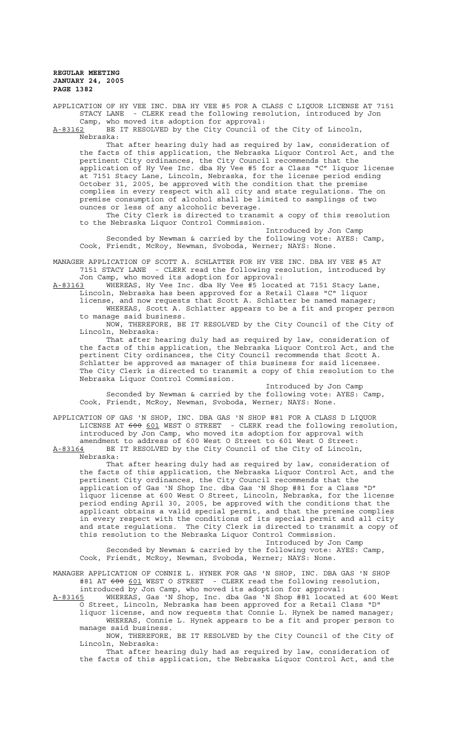APPLICATION OF HY VEE INC. DBA HY VEE #5 FOR A CLASS C LIQUOR LICENSE AT 7151 STACY LANE - CLERK read the following resolution, introduced by Jon Camp, who moved its adoption for approval:<br>A-83162 BE IT RESOLVED by the City Council or

BE IT RESOLVED by the City Council of the City of Lincoln, Nebraska:

That after hearing duly had as required by law, consideration of the facts of this application, the Nebraska Liquor Control Act, and the pertinent City ordinances, the City Council recommends that the application of Hy Vee Inc. dba Hy Vee #5 for a Class "C" liquor license at 7151 Stacy Lane, Lincoln, Nebraska, for the license period ending October 31, 2005, be approved with the condition that the premise complies in every respect with all city and state regulations. The on premise consumption of alcohol shall be limited to samplings of two ounces or less of any alcoholic beverage.

The City Clerk is directed to transmit a copy of this resolution to the Nebraska Liquor Control Commission.

Introduced by Jon Camp Seconded by Newman & carried by the following vote: AYES: Camp, Cook, Friendt, McRoy, Newman, Svoboda, Werner; NAYS: None.

MANAGER APPLICATION OF SCOTT A. SCHLATTER FOR HY VEE INC. DBA HY VEE #5 AT 7151 STACY LANE - CLERK read the following resolution, introduced by Jon Camp, who moved its adoption for approval:

A-83163 WHEREAS, Hy Vee Inc. dba Hy Vee #5 located at 7151 Stacy Lane, Lincoln, Nebraska has been approved for a Retail Class "C" liquor license, and now requests that Scott A. Schlatter be named manager; WHEREAS, Scott A. Schlatter appears to be a fit and proper person

to manage said business. NOW, THEREFORE, BE IT RESOLVED by the City Council of the City of Lincoln, Nebraska:

That after hearing duly had as required by law, consideration of the facts of this application, the Nebraska Liquor Control Act, and the pertinent City ordinances, the City Council recommends that Scott A. Schlatter be approved as manager of this business for said licensee. The City Clerk is directed to transmit a copy of this resolution to the Nebraska Liquor Control Commission.

Introduced by Jon Camp Seconded by Newman & carried by the following vote: AYES: Camp, Cook, Friendt, McRoy, Newman, Svoboda, Werner; NAYS: None.

APPLICATION OF GAS 'N SHOP, INC. DBA GAS 'N SHOP #81 FOR A CLASS D LIQUOR LICENSE AT 600 601 WEST O STREET - CLERK read the following resolution, introduced by Jon Camp, who moved its adoption for approval with amendment to address of 600 West O Street to 601 West O Street: A-83164 BE IT RESOLVED by the City Council of the City of Lincoln,

Nebraska:

That after hearing duly had as required by law, consideration of the facts of this application, the Nebraska Liquor Control Act, and the pertinent City ordinances, the City Council recommends that the application of Gas 'N Shop Inc. dba Gas 'N Shop #81 for a Class "D" liquor license at 600 West O Street, Lincoln, Nebraska, for the license period ending April 30, 2005, be approved with the conditions that the applicant obtains a valid special permit, and that the premise complies in every respect with the conditions of its special permit and all city and state regulations. The City Clerk is directed to transmit a copy of this resolution to the Nebraska Liquor Control Commission.

Introduced by Jon Camp Seconded by Newman & carried by the following vote: AYES: Camp, Cook, Friendt, McRoy, Newman, Svoboda, Werner; NAYS: None.

MANAGER APPLICATION OF CONNIE L. HYNEK FOR GAS 'N SHOP, INC. DBA GAS 'N SHOP #81 AT 600 601 WEST O STREET - CLERK read the following resolution, introduced by Jon Camp, who moved its adoption for approval:

A-83165 WHEREAS, Gas 'N Shop, Inc. dba Gas 'N Shop #81 located at 600 West O Street, Lincoln, Nebraska has been approved for a Retail Class "D" liquor license, and now requests that Connie L. Hynek be named manager;

WHEREAS, Connie L. Hynek appears to be a fit and proper person to manage said business.

NOW, THEREFORE, BE IT RESOLVED by the City Council of the City of Lincoln, Nebraska:

That after hearing duly had as required by law, consideration of the facts of this application, the Nebraska Liquor Control Act, and the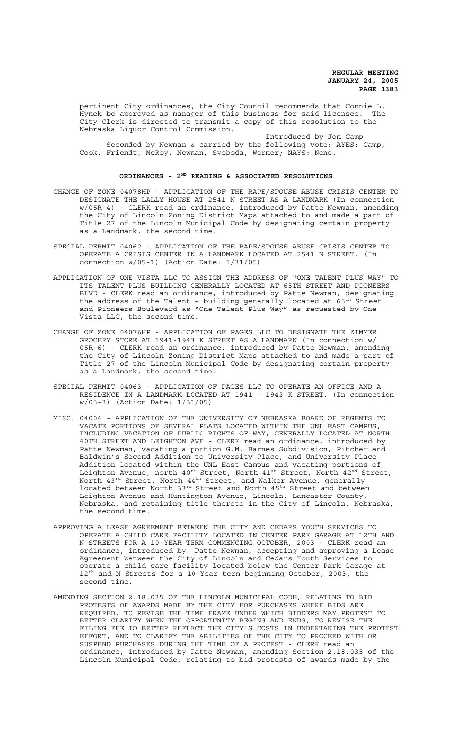pertinent City ordinances, the City Council recommends that Connie L.<br>Hynek be approved as manager of this business for said licensee. The Hynek be approved as manager of this business for said licensee. City Clerk is directed to transmit a copy of this resolution to the Nebraska Liquor Control Commission.

Introduced by Jon Camp Seconded by Newman & carried by the following vote: AYES: Camp, Cook, Friendt, McRoy, Newman, Svoboda, Werner; NAYS: None.

## **ORDINANCES - 2ND READING & ASSOCIATED RESOLUTIONS**

- CHANGE OF ZONE 04078HP APPLICATION OF THE RAPE/SPOUSE ABUSE CRISIS CENTER TO DESIGNATE THE LALLY HOUSE AT 2541 N STREET AS A LANDMARK (In connection w/05R-4) - CLERK read an ordinance, introduced by Patte Newman, amending the City of Lincoln Zoning District Maps attached to and made a part of Title 27 of the Lincoln Municipal Code by designating certain property as a Landmark, the second time.
- SPECIAL PERMIT 04062 APPLICATION OF THE RAPE/SPOUSE ABUSE CRISIS CENTER TO OPERATE A CRISIS CENTER IN A LANDMARK LOCATED AT 2541 N STREET. (In connection w/05-1) (Action Date: 1/31/05)
- APPLICATION OF ONE VISTA LLC TO ASSIGN THE ADDRESS OF "ONE TALENT PLUS WAY" TO ITS TALENT PLUS BUILDING GENERALLY LOCATED AT 65TH STREET AND PIONEERS BLVD - CLERK read an ordinance, introduced by Patte Newman, designating the address of the Talent + building generally located at 65<sup>th</sup> Street and Pioneers Boulevard as "One Talent Plus Way" as requested by One Vista LLC, the second time.
- CHANGE OF ZONE 04076HP APPLICATION OF PAGES LLC TO DESIGNATE THE ZIMMER GROCERY STORE AT 1941-1943 K STREET AS A LANDMARK (In connection w/ 05R-6) - CLERK read an ordinance, introduced by Patte Newman, amending the City of Lincoln Zoning District Maps attached to and made a part of Title 27 of the Lincoln Municipal Code by designating certain property as a Landmark, the second time.
- SPECIAL PERMIT 04063 APPLICATION OF PAGES LLC TO OPERATE AN OFFICE AND A RESIDENCE IN A LANDMARK LOCATED AT 1941 - 1943 K STREET. (In connection w/05-3) (Action Date: 1/31/05)
- MISC. 04004 APPLICATION OF THE UNIVERSITY OF NEBRASKA BOARD OF REGENTS TO VACATE PORTIONS OF SEVERAL PLATS LOCATED WITHIN THE UNL EAST CAMPUS, INCLUDING VACATION OF PUBLIC RIGHTS-OF-WAY, GENERALLY LOCATED AT NORTH 40TH STREET AND LEIGHTON AVE - CLERK read an ordinance, introduced by Patte Newman, vacating a portion G.M. Barnes Subdivision, Pitcher and Baldwin's Second Addition to University Place, and University Place Addition located within the UNL East Campus and vacating portions of Leighton Avenue, north 40<sup>th</sup> Street, North 41st Street, North 42<sup>nd</sup> Street, North 43 $^{\rm rd}$  Street, North 44 $^{\rm th}$  Street, and Walker Avenue, generally located between North 33<sup>rd</sup> Street and North 45<sup>th</sup> Street and between Leighton Avenue and Huntington Avenue, Lincoln, Lancaster County, Nebraska, and retaining title thereto in the City of Lincoln, Nebraska, the second time.
- APPROVING A LEASE AGREEMENT BETWEEN THE CITY AND CEDARS YOUTH SERVICES TO OPERATE A CHILD CARE FACILITY LOCATED IN CENTER PARK GARAGE AT 12TH AND N STREETS FOR A 10-YEAR TERM COMMENCING OCTOBER, 2003 - CLERK read an ordinance, introduced by Patte Newman, accepting and approving a Lease Agreement between the City of Lincoln and Cedars Youth Services to operate a child care facility located below the Center Park Garage at 12<sup>th</sup> and N Streets for a 10-Year term beginning October, 2003, the second time.
- AMENDING SECTION 2.18.035 OF THE LINCOLN MUNICIPAL CODE, RELATING TO BID PROTESTS OF AWARDS MADE BY THE CITY FOR PURCHASES WHERE BIDS ARE REQUIRED, TO REVISE THE TIME FRAME UNDER WHICH BIDDERS MAY PROTEST TO BETTER CLARIFY WHEN THE OPPORTUNITY BEGINS AND ENDS, TO REVISE THE FILING FEE TO BETTER REFLECT THE CITY'S COSTS IN UNDERTAKING THE PROTEST EFFORT, AND TO CLARIFY THE ABILITIES OF THE CITY TO PROCEED WITH OR SUSPEND PURCHASES DURING THE TIME OF A PROTEST - CLERK read an ordinance, introduced by Patte Newman, amending Section 2.18.035 of the Lincoln Municipal Code, relating to bid protests of awards made by the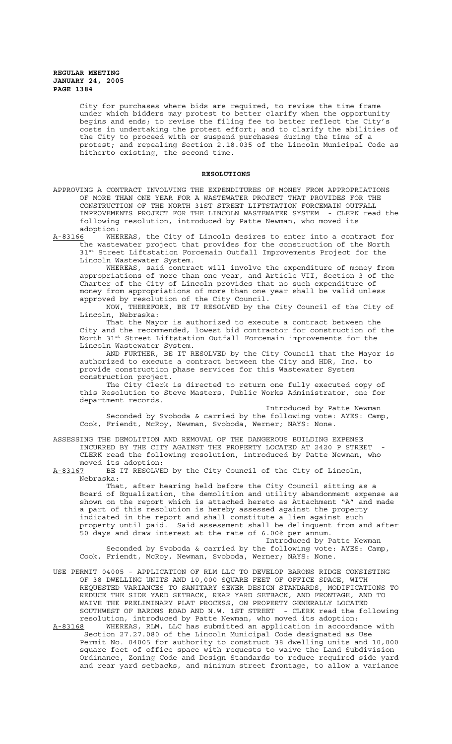City for purchases where bids are required, to revise the time frame under which bidders may protest to better clarify when the opportunity begins and ends; to revise the filing fee to better reflect the City's costs in undertaking the protest effort; and to clarify the abilities of the City to proceed with or suspend purchases during the time of a protest; and repealing Section 2.18.035 of the Lincoln Municipal Code as hitherto existing, the second time.

### **RESOLUTIONS**

APPROVING A CONTRACT INVOLVING THE EXPENDITURES OF MONEY FROM APPROPRIATIONS OF MORE THAN ONE YEAR FOR A WASTEWATER PROJECT THAT PROVIDES FOR THE CONSTRUCTION OF THE NORTH 31ST STREET LIFTSTATION FORCEMAIN OUTFALL IMPROVEMENTS PROJECT FOR THE LINCOLN WASTEWATER SYSTEM - CLERK read the following resolution, introduced by Patte Newman, who moved its

adoption:<br><u>A-83166</u> WHE WHEREAS, the City of Lincoln desires to enter into a contract for the wastewater project that provides for the construction of the North 31st Street Liftstation Forcemain Outfall Improvements Project for the Lincoln Wastewater System.

WHEREAS, said contract will involve the expenditure of money from appropriations of more than one year, and Article VII, Section 3 of the Charter of the City of Lincoln provides that no such expenditure of money from appropriations of more than one year shall be valid unless approved by resolution of the City Council.

NOW, THEREFORE, BE IT RESOLVED by the City Council of the City of Lincoln, Nebraska:

That the Mayor is authorized to execute a contract between the City and the recommended, lowest bid contractor for construction of the North 31<sup>st</sup> Street Liftstation Outfall Forcemain improvements for the Lincoln Wastewater System.

AND FURTHER, BE IT RESOLVED by the City Council that the Mayor is authorized to execute a contract between the City and HDR, Inc. to provide construction phase services for this Wastewater System construction project.

The City Clerk is directed to return one fully executed copy of this Resolution to Steve Masters, Public Works Administrator, one for department records.

Introduced by Patte Newman Seconded by Svoboda & carried by the following vote: AYES: Camp, Cook, Friendt, McRoy, Newman, Svoboda, Werner; NAYS: None.

ASSESSING THE DEMOLITION AND REMOVAL OF THE DANGEROUS BUILDING EXPENSE INCURRED BY THE CITY AGAINST THE PROPERTY LOCATED AT 2420 P STREET CLERK read the following resolution, introduced by Patte Newman, who

moved its adoption:<br><u>A-83167</u> BE IT RESOLVE BE IT RESOLVED by the City Council of the City of Lincoln, Nebraska:

That, after hearing held before the City Council sitting as a Board of Equalization, the demolition and utility abandonment expense as shown on the report which is attached hereto as Attachment "A" and made a part of this resolution is hereby assessed against the property indicated in the report and shall constitute a lien against such property until paid. Said assessment shall be delinquent from and after 50 days and draw interest at the rate of 6.00% per annum. Introduced by Patte Newman

Seconded by Svoboda & carried by the following vote: AYES: Camp, Cook, Friendt, McRoy, Newman, Svoboda, Werner; NAYS: None.

- USE PERMIT 04005 APPLICATION OF RLM LLC TO DEVELOP BARONS RIDGE CONSISTING OF 38 DWELLING UNITS AND 10,000 SQUARE FEET OF OFFICE SPACE, WITH REQUESTED VARIANCES TO SANITARY SEWER DESIGN STANDARDS, MODIFICATIONS TO REDUCE THE SIDE YARD SETBACK, REAR YARD SETBACK, AND FRONTAGE, AND TO WAIVE THE PRELIMINARY PLAT PROCESS, ON PROPERTY GENERALLY LOCATED SOUTHWEST OF BARONS ROAD AND N.W. 1ST STREET - CLERK read the following resolution, introduced by Patte Newman, who moved its adoption:
- A-83168 WHEREAS, RLM, LLC has submitted an application in accordance with Section 27.27.080 of the Lincoln Municipal Code designated as Use Permit No. 04005 for authority to construct 38 dwelling units and 10,000 square feet of office space with requests to waive the Land Subdivision Ordinance, Zoning Code and Design Standards to reduce required side yard and rear yard setbacks, and minimum street frontage, to allow a variance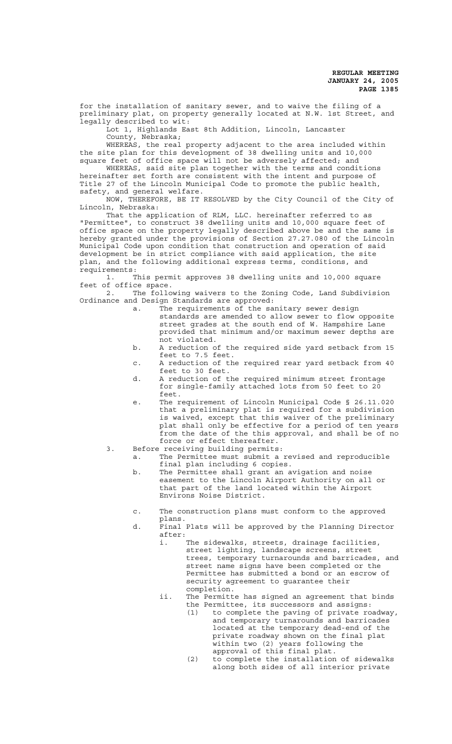for the installation of sanitary sewer, and to waive the filing of a preliminary plat, on property generally located at N.W. 1st Street, and legally described to wit:

Lot 1, Highlands East 8th Addition, Lincoln, Lancaster County, Nebraska;

WHEREAS, the real property adjacent to the area included within the site plan for this development of 38 dwelling units and 10,000 square feet of office space will not be adversely affected; and

WHEREAS, said site plan together with the terms and conditions hereinafter set forth are consistent with the intent and purpose of Title 27 of the Lincoln Municipal Code to promote the public health, safety, and general welfare.

NOW, THEREFORE, BE IT RESOLVED by the City Council of the City of Lincoln, Nebraska:

That the application of RLM, LLC. hereinafter referred to as "Permittee", to construct 38 dwelling units and 10,000 square feet of office space on the property legally described above be and the same is hereby granted under the provisions of Section 27.27.080 of the Lincoln Municipal Code upon condition that construction and operation of said development be in strict compliance with said application, the site plan, and the following additional express terms, conditions, and requirements:

1. This permit approves 38 dwelling units and 10,000 square feet of office space.

2. The following waivers to the Zoning Code, Land Subdivision Ordinance and Design Standards are approved:

- a. The requirements of the sanitary sewer design standards are amended to allow sewer to flow opposite street grades at the south end of W. Hampshire Lane provided that minimum and/or maximum sewer depths are not violated.
- b. A reduction of the required side yard setback from 15 feet to 7.5 feet.
- c. A reduction of the required rear yard setback from 40 feet to 30 feet.
- d. A reduction of the required minimum street frontage for single-family attached lots from 50 feet to 20 feet.
- e. The requirement of Lincoln Municipal Code § 26.11.020 that a preliminary plat is required for a subdivision is waived, except that this waiver of the preliminary plat shall only be effective for a period of ten years from the date of the this approval, and shall be of no force or effect thereafter.
- 3. Before receiving building permits:
	- a. The Permittee must submit a revised and reproducible final plan including 6 copies.
		- b. The Permittee shall grant an avigation and noise easement to the Lincoln Airport Authority on all or that part of the land located within the Airport Environs Noise District.
		- c. The construction plans must conform to the approved
			- plans.
		- d. Final Plats will be approved by the Planning Director after:
			- i. The sidewalks, streets, drainage facilities, street lighting, landscape screens, street trees, temporary turnarounds and barricades, and street name signs have been completed or the Permittee has submitted a bond or an escrow of security agreement to guarantee their completion.
			- ii. The Permitte has signed an agreement that binds the Permittee, its successors and assigns:
				- (1) to complete the paving of private roadway, and temporary turnarounds and barricades located at the temporary dead-end of the private roadway shown on the final plat within two (2) years following the approval of this final plat.
				- (2) to complete the installation of sidewalks along both sides of all interior private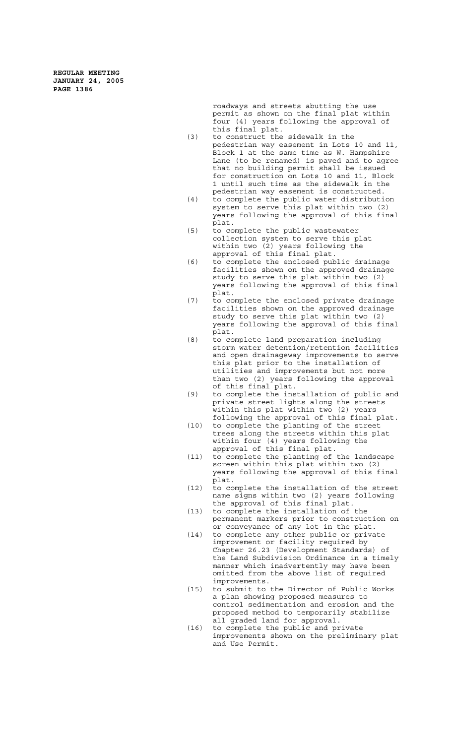> roadways and streets abutting the use permit as shown on the final plat within four (4) years following the approval of this final plat.

- (3) to construct the sidewalk in the pedestrian way easement in Lots 10 and 11, Block 1 at the same time as W. Hampshire Lane (to be renamed) is paved and to agree that no building permit shall be issued for construction on Lots 10 and 11, Block 1 until such time as the sidewalk in the pedestrian way easement is constructed.
- (4) to complete the public water distribution system to serve this plat within two (2) years following the approval of this final plat.
- (5) to complete the public wastewater collection system to serve this plat within two (2) years following the approval of this final plat.
- (6) to complete the enclosed public drainage facilities shown on the approved drainage study to serve this plat within two (2) years following the approval of this final plat.
- (7) to complete the enclosed private drainage facilities shown on the approved drainage study to serve this plat within two (2) years following the approval of this final plat.
- (8) to complete land preparation including storm water detention/retention facilities and open drainageway improvements to serve this plat prior to the installation of utilities and improvements but not more than two (2) years following the approval of this final plat.
- (9) to complete the installation of public and private street lights along the streets within this plat within two (2) years following the approval of this final plat.
- (10) to complete the planting of the street trees along the streets within this plat within four (4) years following the
- approval of this final plat. (11) to complete the planting of the landscape screen within this plat within two (2) years following the approval of this final plat.
- (12) to complete the installation of the street name signs within two (2) years following the approval of this final plat.
- (13) to complete the installation of the permanent markers prior to construction on or conveyance of any lot in the plat.
- (14) to complete any other public or private improvement or facility required by Chapter 26.23 (Development Standards) of the Land Subdivision Ordinance in a timely manner which inadvertently may have been omitted from the above list of required improvements.
- (15) to submit to the Director of Public Works a plan showing proposed measures to control sedimentation and erosion and the proposed method to temporarily stabilize all graded land for approval.
- (16) to complete the public and private improvements shown on the preliminary plat and Use Permit.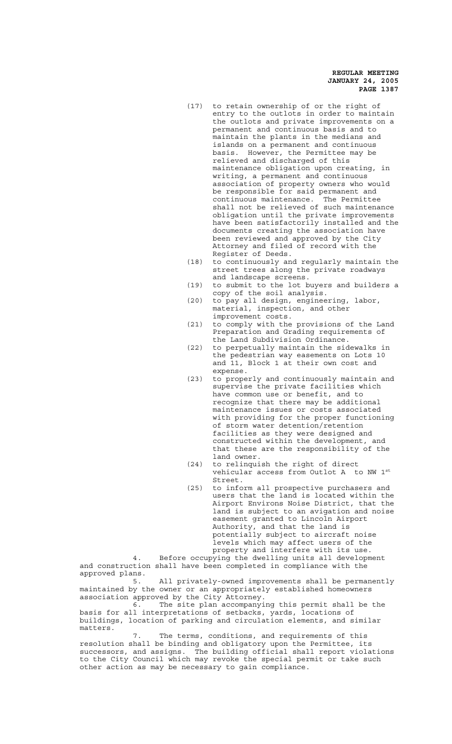- (17) to retain ownership of or the right of entry to the outlots in order to maintain the outlots and private improvements on a permanent and continuous basis and to maintain the plants in the medians and islands on a permanent and continuous basis. However, the Permittee may be relieved and discharged of this maintenance obligation upon creating, in writing, a permanent and continuous association of property owners who would be responsible for said permanent and continuous maintenance. The Permittee shall not be relieved of such maintenance obligation until the private improvements have been satisfactorily installed and the documents creating the association have been reviewed and approved by the City Attorney and filed of record with the Register of Deeds.
- (18) to continuously and regularly maintain the street trees along the private roadways and landscape screens.
- (19) to submit to the lot buyers and builders a copy of the soil analysis.
- (20) to pay all design, engineering, labor, material, inspection, and other improvement costs.
- (21) to comply with the provisions of the Land Preparation and Grading requirements of the Land Subdivision Ordinance.
- (22) to perpetually maintain the sidewalks in the pedestrian way easements on Lots 10 and 11, Block 1 at their own cost and expense.
- (23) to properly and continuously maintain and supervise the private facilities which have common use or benefit, and to recognize that there may be additional maintenance issues or costs associated with providing for the proper functioning of storm water detention/retention facilities as they were designed and constructed within the development, and that these are the responsibility of the land owner.
- (24) to relinquish the right of direct vehicular access from Outlot A to NW 1st Street.
- (25) to inform all prospective purchasers and users that the land is located within the Airport Environs Noise District, that the land is subject to an avigation and noise easement granted to Lincoln Airport Authority, and that the land is potentially subject to aircraft noise levels which may affect users of the property and interfere with its use.

4. Before occupying the dwelling units all development and construction shall have been completed in compliance with the approved plans.

5. All privately-owned improvements shall be permanently maintained by the owner or an appropriately established homeowners association approved by the City Attorney.

6. The site plan accompanying this permit shall be the basis for all interpretations of setbacks, yards, locations of buildings, location of parking and circulation elements, and similar matters.

7. The terms, conditions, and requirements of this resolution shall be binding and obligatory upon the Permittee, its successors, and assigns. The building official shall report violations to the City Council which may revoke the special permit or take such other action as may be necessary to gain compliance.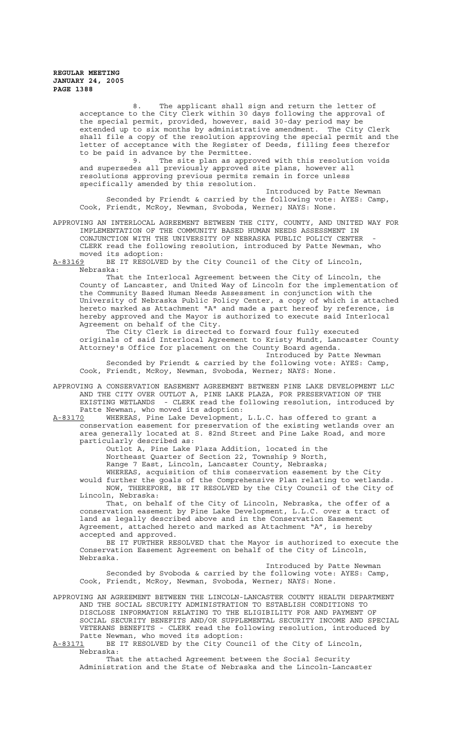8. The applicant shall sign and return the letter of acceptance to the City Clerk within 30 days following the approval of the special permit, provided, however, said 30-day period may be extended up to six months by administrative amendment. The City Clerk shall file a copy of the resolution approving the special permit and the letter of acceptance with the Register of Deeds, filling fees therefor

to be paid in advance by the Permittee.<br>9. The site plan as appr The site plan as approved with this resolution voids and supersedes all previously approved site plans, however all resolutions approving previous permits remain in force unless specifically amended by this resolution.

Introduced by Patte Newman Seconded by Friendt & carried by the following vote: AYES: Camp, Cook, Friendt, McRoy, Newman, Svoboda, Werner; NAYS: None.

APPROVING AN INTERLOCAL AGREEMENT BETWEEN THE CITY, COUNTY, AND UNITED WAY FOR IMPLEMENTATION OF THE COMMUNITY BASED HUMAN NEEDS ASSESSMENT IN CONJUNCTION WITH THE UNIVERSITY OF NEBRASKA PUBLIC POLICY CENTER CLERK read the following resolution, introduced by Patte Newman, who moved its adoption:

A-83169 BE IT RESOLVED by the City Council of the City of Lincoln, Nebraska:

That the Interlocal Agreement between the City of Lincoln, the County of Lancaster, and United Way of Lincoln for the implementation of the Community Based Human Needs Assessment in conjunction with the University of Nebraska Public Policy Center, a copy of which is attached hereto marked as Attachment "A" and made a part hereof by reference, is hereby approved and the Mayor is authorized to execute said Interlocal Agreement on behalf of the City.

The City Clerk is directed to forward four fully executed originals of said Interlocal Agreement to Kristy Mundt, Lancaster County Attorney's Office for placement on the County Board agenda.

Introduced by Patte Newman Seconded by Friendt & carried by the following vote: AYES: Camp, Cook, Friendt, McRoy, Newman, Svoboda, Werner; NAYS: None.

APPROVING A CONSERVATION EASEMENT AGREEMENT BETWEEN PINE LAKE DEVELOPMENT LLC AND THE CITY OVER OUTLOT A, PINE LAKE PLAZA, FOR PRESERVATION OF THE EXISTING WETLANDS - CLERK read the following resolution, introduced by Patte Newman, who moved its adoption:

A-83170 WHEREAS, Pine Lake Development, L.L.C. has offered to grant a conservation easement for preservation of the existing wetlands over an area generally located at S. 82nd Street and Pine Lake Road, and more particularly described as:

Outlot A, Pine Lake Plaza Addition, located in the Northeast Quarter of Section 22, Township 9 North, Range 7 East, Lincoln, Lancaster County, Nebraska;

WHEREAS, acquisition of this conservation easement by the City would further the goals of the Comprehensive Plan relating to wetlands. NOW, THEREFORE, BE IT RESOLVED by the City Council of the City of Lincoln, Nebraska:

That, on behalf of the City of Lincoln, Nebraska, the offer of a conservation easement by Pine Lake Development, L.L.C. over a tract of land as legally described above and in the Conservation Easement Agreement, attached hereto and marked as Attachment "A", is hereby accepted and approved.

BE IT FURTHER RESOLVED that the Mayor is authorized to execute the Conservation Easement Agreement on behalf of the City of Lincoln, Nebraska.

Introduced by Patte Newman Seconded by Svoboda & carried by the following vote: AYES: Camp, Cook, Friendt, McRoy, Newman, Svoboda, Werner; NAYS: None.

APPROVING AN AGREEMENT BETWEEN THE LINCOLN-LANCASTER COUNTY HEALTH DEPARTMENT AND THE SOCIAL SECURITY ADMINISTRATION TO ESTABLISH CONDITIONS TO DISCLOSE INFORMATION RELATING TO THE ELIGIBILITY FOR AND PAYMENT OF SOCIAL SECURITY BENEFITS AND/OR SUPPLEMENTAL SECURITY INCOME AND SPECIAL VETERANS BENEFITS - CLERK read the following resolution, introduced by Patte Newman, who moved its adoption:

A-83171 BE IT RESOLVED by the City Council of the City of Lincoln, Nebraska:

That the attached Agreement between the Social Security Administration and the State of Nebraska and the Lincoln-Lancaster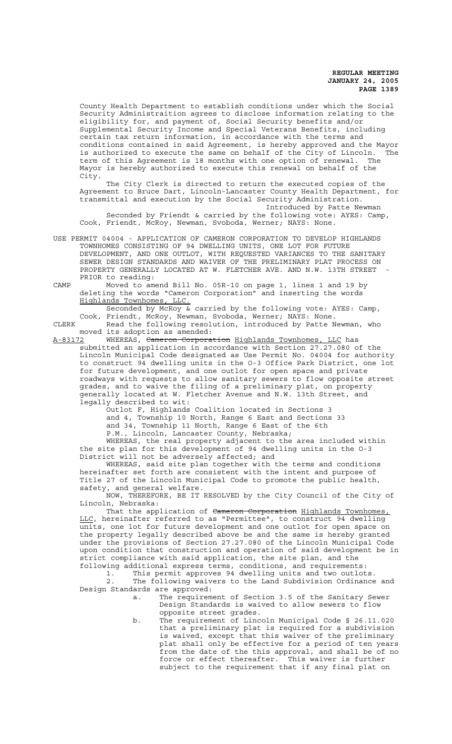County Health Department to establish conditions under which the Social Security Administraition agrees to disclose information relating to the eligibility for, and payment of, Social Security benefits and/or Supplemental Security Income and Special Veterans Benefits, including certain tax return information, in accordance with the terms and conditions contained in said Agreement, is hereby approved and the Mayor is authorized to execute the same on behalf of the City of Lincoln. The term of this Agreement is 18 months with one option of renewal. The Mayor is hereby authorized to execute this renewal on behalf of the City.

The City Clerk is directed to return the executed copies of the Agreement to Bruce Dart, Lincoln-Lancaster County Health Department, for transmittal and execution by the Social Security Administration.

Introduced by Patte Newman Seconded by Friendt & carried by the following vote: AYES: Camp, Cook, Friendt, McRoy, Newman, Svoboda, Werner; NAYS: None.

USE PERMIT 04004 - APPLICATION OF CAMERON CORPORATION TO DEVELOP HIGHLANDS TOWNHOMES CONSISTING OF 94 DWELLING UNITS, ONE LOT FOR FUTURE DEVELOPMENT, AND ONE OUTLOT, WITH REQUESTED VARIANCES TO THE SANITARY SEWER DESIGN STANDARDS AND WAIVER OF THE PRELIMINARY PLAT PROCESS ON PROPERTY GENERALLY LOCATED AT W. FLETCHER AVE. AND N.W. 13TH STREET PRIOR to reading:

CAMP Moved to amend Bill No. 05R-10 on page 1, lines 1 and 19 by deleting the words "Cameron Corporation" and inserting the words Highlands Townhomes, LLC.

Seconded by McRoy & carried by the following vote: AYES: Camp, Cook, Friendt, McRoy, Newman, Svoboda, Werner; NAYS: None. CLERK Read the following resolution, introduced by Patte Newman, who

moved its adoption as amended:

A-83172 MHEREAS, <del>Cameron Corporation</del> Highlands Townhomes, LLC has submitted an application in accordance with Section 27.27.080 of the Lincoln Municipal Code designated as Use Permit No. 04004 for authority to construct 94 dwelling units in the O-3 Office Park District, one lot for future development, and one outlot for open space and private roadways with requests to allow sanitary sewers to flow opposite street grades, and to waive the filing of a preliminary plat, on property generally located at W. Fletcher Avenue and N.W. 13th Street, and legally described to wit:

.<br>Outlot F, Highlands Coalition located in Sections 3 and 4, Township 10 North, Range 6 East and Sections 33 and 34, Township 11 North, Range 6 East of the 6th

P.M., Lincoln, Lancaster County, Nebraska;

WHEREAS, the real property adjacent to the area included within the site plan for this development of 94 dwelling units in the O-3 District will not be adversely affected; and

WHEREAS, said site plan together with the terms and conditions hereinafter set forth are consistent with the intent and purpose of Title 27 of the Lincoln Municipal Code to promote the public health, safety, and general welfare.

NOW, THEREFORE, BE IT RESOLVED by the City Council of the City of Lincoln, Nebraska:

That the application of Cameron Corporation Highlands Townhomes, LLC, hereinafter referred to as "Permittee", to construct 94 dwelling units, one lot for future development and one outlot for open space on the property legally described above be and the same is hereby granted under the provisions of Section 27.27.080 of the Lincoln Municipal Code upon condition that construction and operation of said development be in strict compliance with said application, the site plan, and the following additional express terms, conditions, and requirements:

1. This permit approves 94 dwelling units and two outlots. 2. The following waivers to the Land Subdivision Ordinance and Design Standards are approved:

- a. The requirement of Section 3.5 of the Sanitary Sewer Design Standards is waived to allow sewers to flow opposite street grades.
- b. The requirement of Lincoln Municipal Code § 26.11.020 that a preliminary plat is required for a subdivision is waived, except that this waiver of the preliminary plat shall only be effective for a period of ten years from the date of the this approval, and shall be of no force or effect thereafter. This waiver is further subject to the requirement that if any final plat on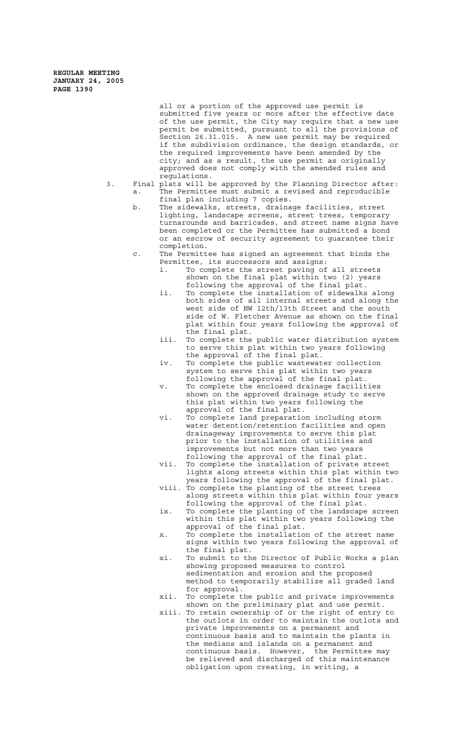> all or a portion of the approved use permit is submitted five years or more after the effective date of the use permit, the City may require that a new use permit be submitted, pursuant to all the provisions of Section 26.31.015. A new use permit may be required if the subdivision ordinance, the design standards, or the required improvements have been amended by the city; and as a result, the use permit as originally approved does not comply with the amended rules and regulations.

- 3. Final plats will be approved by the Planning Director after: a. The Permittee must submit a revised and reproducible final plan including 7 copies.
	- b. The sidewalks, streets, drainage facilities, street lighting, landscape screens, street trees, temporary turnarounds and barricades, and street name signs have been completed or the Permittee has submitted a bond or an escrow of security agreement to guarantee their completion.
	- c. The Permittee has signed an agreement that binds the Permittee, its successors and assigns:
		- i. To complete the street paving of all streets shown on the final plat within two (2) years following the approval of the final plat.
		- ii. To complete the installation of sidewalks along both sides of all internal streets and along the west side of NW 12th/13th Street and the south side of W. Fletcher Avenue as shown on the final plat within four years following the approval of the final plat.
		- iii. To complete the public water distribution system to serve this plat within two years following the approval of the final plat.
		- iv. To complete the public wastewater collection system to serve this plat within two years following the approval of the final plat.
		- v. To complete the enclosed drainage facilities shown on the approved drainage study to serve this plat within two years following the approval of the final plat.
		- vi. To complete land preparation including storm water detention/retention facilities and open drainageway improvements to serve this plat prior to the installation of utilities and improvements but not more than two years following the approval of the final plat.
		- vii. To complete the installation of private street lights along streets within this plat within two years following the approval of the final plat.
		- viii. To complete the planting of the street trees along streets within this plat within four years following the approval of the final plat.
		- ix. To complete the planting of the landscape screen within this plat within two years following the approval of the final plat.
		- x. To complete the installation of the street name signs within two years following the approval of the final plat.
		- xi. To submit to the Director of Public Works a plan showing proposed measures to control sedimentation and erosion and the proposed method to temporarily stabilize all graded land for approval.
		- xii. To complete the public and private improvements shown on the preliminary plat and use permit.
		- xiii. To retain ownership of or the right of entry to the outlots in order to maintain the outlots and private improvements on a permanent and continuous basis and to maintain the plants in the medians and islands on a permanent and continuous basis. However, the Permittee may be relieved and discharged of this maintenance obligation upon creating, in writing, a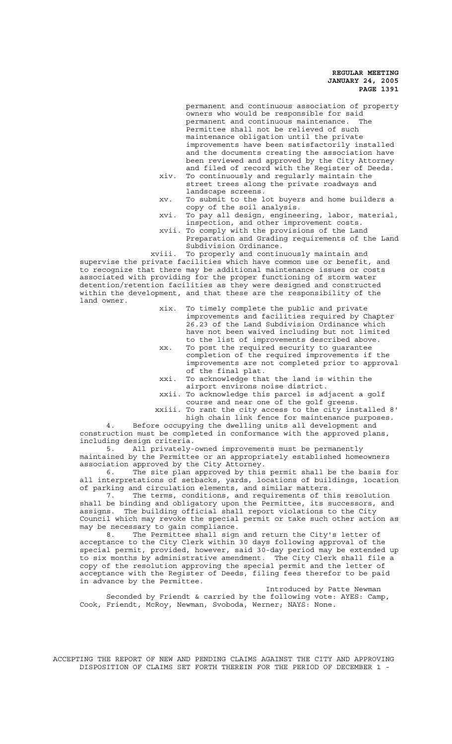permanent and continuous association of property owners who would be responsible for said permanent and continuous maintenance. The Permittee shall not be relieved of such maintenance obligation until the private improvements have been satisfactorily installed and the documents creating the association have been reviewed and approved by the City Attorney and filed of record with the Register of Deeds. xiv. To continuously and regularly maintain the

- street trees along the private roadways and landscape screens.
- xv. To submit to the lot buyers and home builders a copy of the soil analysis.
- xvi. To pay all design, engineering, labor, material, inspection, and other improvement costs.
- xvii. To comply with the provisions of the Land Preparation and Grading requirements of the Land Subdivision Ordinance.

 xviii. To properly and continuously maintain and supervise the private facilities which have common use or benefit, and to recognize that there may be additional maintenance issues or costs associated with providing for the proper functioning of storm water detention/retention facilities as they were designed and constructed within the development, and that these are the responsibility of the land owner.

- xix. To timely complete the public and private improvements and facilities required by Chapter 26.23 of the Land Subdivision Ordinance which have not been waived including but not limited to the list of improvements described above.
- xx. To post the required security to guarantee completion of the required improvements if the improvements are not completed prior to approval of the final plat.
- xxi. To acknowledge that the land is within the airport environs noise district.
- xxii. To acknowledge this parcel is adjacent a golf course and near one of the golf greens.
- xxiii. To rant the city access to the city installed 8' high chain link fence for maintenance purposes.

4. Before occupying the dwelling units all development and construction must be completed in conformance with the approved plans, including design criteria.

5. All privately-owned improvements must be permanently maintained by the Permittee or an appropriately established homeowners association approved by the City Attorney.

6. The site plan approved by this permit shall be the basis for all interpretations of setbacks, yards, locations of buildings, location of parking and circulation elements, and similar matters.

7. The terms, conditions, and requirements of this resolution shall be binding and obligatory upon the Permittee, its successors, and assigns. The building official shall report violations to the City Council which may revoke the special permit or take such other action as may be necessary to gain compliance.<br>8. The Permittee shall sign

The Permittee shall sign and return the City's letter of acceptance to the City Clerk within 30 days following approval of the special permit, provided, however, said 30-day period may be extended up to six months by administrative amendment. The City Clerk shall file a copy of the resolution approving the special permit and the letter of acceptance with the Register of Deeds, filing fees therefor to be paid in advance by the Permittee.

Introduced by Patte Newman Seconded by Friendt & carried by the following vote: AYES: Camp, Cook, Friendt, McRoy, Newman, Svoboda, Werner; NAYS: None.

ACCEPTING THE REPORT OF NEW AND PENDING CLAIMS AGAINST THE CITY AND APPROVING DISPOSITION OF CLAIMS SET FORTH THEREIN FOR THE PERIOD OF DECEMBER 1 -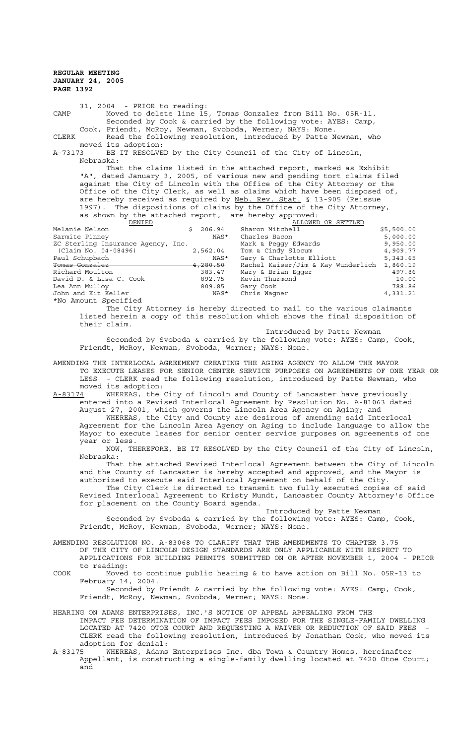31, 2004 - PRIOR to reading: CAMP Moved to delete line 15, Tomas Gonzalez from Bill No. 05R-11. Seconded by Cook & carried by the following vote: AYES: Camp, Cook, Friendt, McRoy, Newman, Svoboda, Werner; NAYS: None. CLERK Read the following resolution, introduced by Patte Newman, who moved its adoption: A-73173 BE IT RESOLVED by the City Council of the City of Lincoln, Nebraska: That the claims listed in the attached report, marked as Exhibit

"A", dated January 3, 2005, of various new and pending tort claims filed against the City of Lincoln with the Office of the City Attorney or the Office of the City Clerk, as well as claims which have been disposed of, are hereby received as required by Neb. Rev. Stat. § 13-905 (Reissue 1997). The dispositions of claims by the Office of the City Attorney, as shown by the attached report, are hereby approved:

| DENIED                             |                     | ALLOWED OR SETTLED                 |            |
|------------------------------------|---------------------|------------------------------------|------------|
| Melanie Nelson                     | 206.94<br>Ŝ.        | Sharon Mitchell                    | \$5,500.00 |
| Sarmite Pinney                     | NAS*                | Charles Bacon                      | 5,000.00   |
| ZC Sterling Insurance Agency, Inc. |                     | Mark & Peqqy Edwards               | 9,950.00   |
| (Claim No. 04-08496)               | 2,562.04            | Tom & Cindy Slocum                 | 4,909.77   |
| Paul Schupbach                     | NAS*                | Gary & Charlotte Elliott           | 5,343.65   |
| Tomas Gonzalez                     | <del>4,280.50</del> | Rachel Kaiser/Jim & Kay Wunderlich | 1,860.19   |
| Richard Moulton                    | 383.47              | Mary & Brian Eqqer                 | 497.86     |
| David D. & Lisa C. Cook            | 892.75              | Kevin Thurmond                     | 10.00      |
| Lea Ann Mulloy                     | 809.85              | Gary Cook                          | 788.86     |
| John and Kit Keller                | NAS*                | Chris Waqner                       | 4,331.21   |
| *No Amount Specified               |                     |                                    |            |

The City Attorney is hereby directed to mail to the various claimants listed herein a copy of this resolution which shows the final disposition of their claim.

Introduced by Patte Newman

Seconded by Svoboda & carried by the following vote: AYES: Camp, Cook, Friendt, McRoy, Newman, Svoboda, Werner; NAYS: None.

AMENDING THE INTERLOCAL AGREEMENT CREATING THE AGING AGENCY TO ALLOW THE MAYOR TO EXECUTE LEASES FOR SENIOR CENTER SERVICE PURPOSES ON AGREEMENTS OF ONE YEAR OR LESS - CLERK read the following resolution, introduced by Patte Newman, who moved its adoption:

A-83174 WHEREAS, the City of Lincoln and County of Lancaster have previously entered into a Revised Interlocal Agreement by Resolution No. A-81063 dated August 27, 2001, which governs the Lincoln Area Agency on Aging; and WHEREAS, the City and County are desirous of amending said Interlocal

Agreement for the Lincoln Area Agency on Aging to include language to allow the Mayor to execute leases for senior center service purposes on agreements of one year or less.

NOW, THEREFORE, BE IT RESOLVED by the City Council of the City of Lincoln, Nebraska:

That the attached Revised Interlocal Agreement between the City of Lincoln and the County of Lancaster is hereby accepted and approved, and the Mayor is authorized to execute said Interlocal Agreement on behalf of the City.

The City Clerk is directed to transmit two fully executed copies of said Revised Interlocal Agreement to Kristy Mundt, Lancaster County Attorney's Office for placement on the County Board agenda.

Introduced by Patte Newman

Seconded by Svoboda & carried by the following vote: AYES: Camp, Cook, Friendt, McRoy, Newman, Svoboda, Werner; NAYS: None.

AMENDING RESOLUTION NO. A-83068 TO CLARIFY THAT THE AMENDMENTS TO CHAPTER 3.75 OF THE CITY OF LINCOLN DESIGN STANDARDS ARE ONLY APPLICABLE WITH RESPECT TO APPLICATIONS FOR BUILDING PERMITS SUBMITTED ON OR AFTER NOVEMBER 1, 2004 - PRIOR to reading:

COOK Moved to continue public hearing & to have action on Bill No. 05R-13 to February 14, 2004.

Seconded by Friendt & carried by the following vote: AYES: Camp, Cook, Friendt, McRoy, Newman, Svoboda, Werner; NAYS: None.

- HEARING ON ADAMS ENTERPRISES, INC.'S NOTICE OF APPEAL APPEALING FROM THE IMPACT FEE DETERMINATION OF IMPACT FEES IMPOSED FOR THE SINGLE-FAMILY DWELLING LOCATED AT 7420 OTOE COURT AND REQUESTING A WAIVER OR REDUCTION OF SAID FEES CLERK read the following resolution, introduced by Jonathan Cook, who moved its adoption for denial:
- A-83175 WHEREAS, Adams Enterprises Inc. dba Town & Country Homes, hereinafter Appellant, is constructing a single-family dwelling located at 7420 Otoe Court; and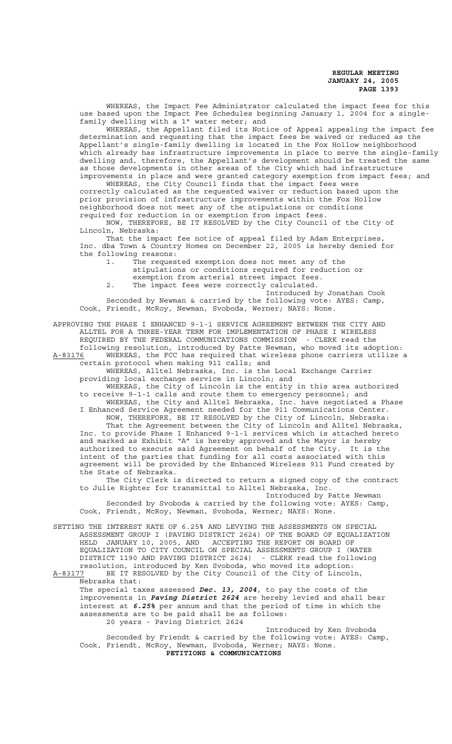WHEREAS, the Impact Fee Administrator calculated the impact fees for this use based upon the Impact Fee Schedules beginning January 1, 2004 for a singlefamily dwelling with a 1" water meter; and

WHEREAS, the Appellant filed its Notice of Appeal appealing the impact fee determination and requesting that the impact fees be waived or reduced as the Appellant's single-family dwelling is located in the Fox Hollow neighborhood which already has infrastructure improvements in place to serve the single-family dwelling and, therefore, the Appellant's development should be treated the same as those developments in other areas of the City which had infrastructure improvements in place and were granted category exemption from impact fees; and

WHEREAS, the City Council finds that the impact fees were correctly calculated as the requested waiver or reduction based upon the prior provision of infrastructure improvements within the Fox Hollow neighborhood does not meet any of the stipulations or conditions required for reduction in or exemption from impact fees.

NOW, THEREFORE, BE IT RESOLVED by the City Council of the City of Lincoln, Nebraska:

That the impact fee notice of appeal filed by Adam Enterprises, Inc. dba Town & Country Homes on December 22, 2005 is hereby denied for the following reasons:

1. The requested exemption does not meet any of the stipulations or conditions required for reduction or exemption from arterial street impact fees.

2. The impact fees were correctly calculated.

Introduced by Jonathan Cook

Seconded by Newman & carried by the following vote: AYES: Camp, Cook, Friendt, McRoy, Newman, Svoboda, Werner; NAYS: None.

APPROVING THE PHASE I ENHANCED 9-1-1 SERVICE AGREEMENT BETWEEN THE CITY AND ALLTEL FOR A THREE-YEAR TERM FOR IMPLEMENTATION OF PHASE I WIRELESS REQUIRED BY THE FEDERAL COMMUNICATIONS COMMISSION - CLERK read the following resolution, introduced by Patte Newman, who moved its adoption:

A-83176 WHEREAS, the FCC has required that wireless phone carriers utilize a certain protocol when making 911 calls; and

WHEREAS, Alltel Nebraska, Inc. is the Local Exchange Carrier providing local exchange service in Lincoln; and

WHEREAS, the City of Lincoln is the entity in this area authorized to receive 9-1-1 calls and route them to emergency personnel; and WHEREAS, the City and Alltel Nebraska, Inc. have negotiated a Phase

I Enhanced Service Agreement needed for the 911 Communications Center. NOW, THEREFORE, BE IT RESOLVED by the City of Lincoln, Nebraska: That the Agreement between the City of Lincoln and Alltel Nebraska, Inc. to provide Phase I Enhanced 9-1-1 services which is attached hereto and marked as Exhibit "A" is hereby approved and the Mayor is hereby authorized to execute said Agreement on behalf of the City. It is the intent of the parties that funding for all costs associated with this agreement will be provided by the Enhanced Wireless 911 Fund created by the State of Nebraska.

The City Clerk is directed to return a signed copy of the contract to Julie Righter for transmittal to Alltel Nebraska, Inc.

Introduced by Patte Newman Seconded by Svoboda & carried by the following vote: AYES: Camp, Cook, Friendt, McRoy, Newman, Svoboda, Werner; NAYS: None.

SETTING THE INTEREST RATE OF 6.25% AND LEVYING THE ASSESSMENTS ON SPECIAL ASSESSMENT GROUP I (PAVING DISTRICT 2624) OF THE BOARD OF EQUALIZATION HELD JANUARY 10, 2005, AND ACCEPTING THE REPORT ON BOARD OF EQUALIZATION TO CITY COUNCIL ON SPECIAL ASSESSMENTS GROUP I (WATER DISTRICT 1190 AND PAVING DISTRICT 2624) - CLERK read the following resolution, introduced by Ken Svoboda, who moved its adoption: A-83177 BE IT RESOLVED by the City Council of the City of Lincoln,

Nebraska that:

The special taxes assessed *Dec. 13, 2004*, to pay the costs of the improvements in *Paving District 2624* are hereby levied and shall bear interest at *6.25%* per annum and that the period of time in which the assessments are to be paid shall be as follows: 20 years - Paving District 2624

Introduced by Ken Svoboda Seconded by Friendt & carried by the following vote: AYES: Camp, Cook, Friendt, McRoy, Newman, Svoboda, Werner; NAYS: None. **PETITIONS & COMMUNICATIONS**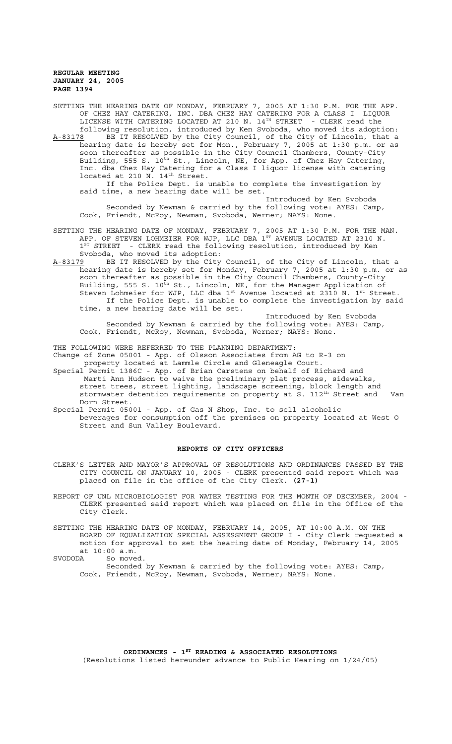SETTING THE HEARING DATE OF MONDAY, FEBRUARY 7, 2005 AT 1:30 P.M. FOR THE APP. OF CHEZ HAY CATERING, INC. DBA CHEZ HAY CATERING FOR A CLASS I LIQUOR LICENSE WITH CATERING LOCATED AT 210 N. 14<sup>TH</sup> STREET - CLERK read the

following resolution, introduced by Ken Svoboda, who moved its adoption: A-83178 BE IT RESOLVED by the City Council, of the City of Lincoln, that a hearing date is hereby set for Mon., February 7, 2005 at 1:30 p.m. or as soon thereafter as possible in the City Council Chambers, County-City Building, 555 S. 10<sup>th</sup> St., Lincoln, NE, for App. of Chez Hay Catering, Inc. dba Chez Hay Catering for a Class I liquor license with catering located at 210 N. 14<sup>th</sup> Street.

If the Police Dept. is unable to complete the investigation by said time, a new hearing date will be set.

Introduced by Ken Svoboda Seconded by Newman & carried by the following vote: AYES: Camp, Cook, Friendt, McRoy, Newman, Svoboda, Werner; NAYS: None.

SETTING THE HEARING DATE OF MONDAY, FEBRUARY 7, 2005 AT 1:30 P.M. FOR THE MAN. APP. OF STEVEN LOHMEIER FOR WJP, LLC DBA  $1^{ST}$  AVENUE LOCATED AT 2310 N. <sup>1st</sup> STREET - CLERK read the following resolution, introduced by Ken Svoboda, who moved its adoption:

A-83179 BE IT RESOLVED by the City Council, of the City of Lincoln, that a hearing date is hereby set for Monday, February 7, 2005 at 1:30 p.m. or as soon thereafter as possible in the City Council Chambers, County-City Building, 555 S. 10<sup>th</sup> St., Lincoln, NE, for the Manager Application of Steven Lohmeier for WJP, LLC dba  $1^{\text{st}}$  Avenue located at 2310 N.  $1^{\text{st}}$  Street. If the Police Dept. is unable to complete the investigation by said time, a new hearing date will be set.

Introduced by Ken Svoboda Seconded by Newman & carried by the following vote: AYES: Camp, Cook, Friendt, McRoy, Newman, Svoboda, Werner; NAYS: None.

THE FOLLOWING WERE REFERRED TO THE PLANNING DEPARTMENT:

Change of Zone 05001 - App. of Olsson Associates from AG to R-3 on property located at Lammle Circle and Gleneagle Court.

- Special Permit 1386C App. of Brian Carstens on behalf of Richard and Marti Ann Hudson to waive the preliminary plat process, sidewalks, street trees, street lighting, landscape screening, block length and stormwater detention requirements on property at S. 112<sup>th</sup> Street and Van Dorn Street.
- Special Permit 05001 App. of Gas N Shop, Inc. to sell alcoholic beverages for consumption off the premises on property located at West O Street and Sun Valley Boulevard.

#### **REPORTS OF CITY OFFICERS**

- CLERK'S LETTER AND MAYOR'S APPROVAL OF RESOLUTIONS AND ORDINANCES PASSED BY THE CITY COUNCIL ON JANUARY 10, 2005 - CLERK presented said report which was placed on file in the office of the City Clerk. **(27-1)**
- REPORT OF UNL MICROBIOLOGIST FOR WATER TESTING FOR THE MONTH OF DECEMBER, 2004 CLERK presented said report which was placed on file in the Office of the City Clerk.
- SETTING THE HEARING DATE OF MONDAY, FEBRUARY 14, 2005, AT 10:00 A.M. ON THE BOARD OF EQUALIZATION SPECIAL ASSESSMENT GROUP I - City Clerk requested a motion for approval to set the hearing date of Monday, February 14, 2005 at 10:00 a.m.

SVODODA So moved. Seconded by Newman & carried by the following vote: AYES: Camp, Cook, Friendt, McRoy, Newman, Svoboda, Werner; NAYS: None.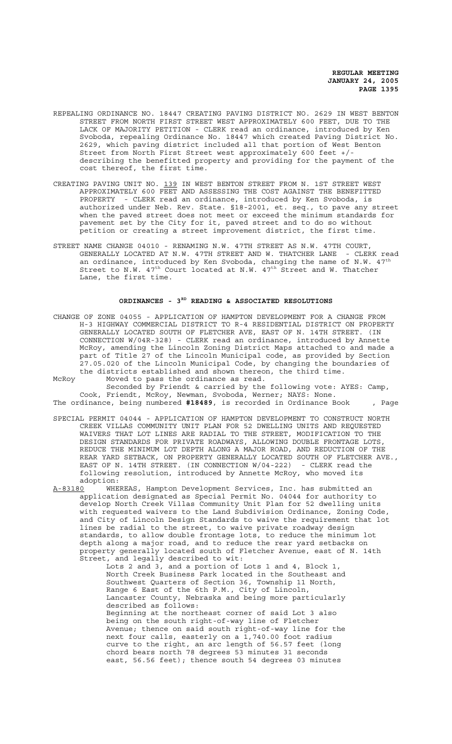- REPEALING ORDINANCE NO. 18447 CREATING PAVING DISTRICT NO. 2629 IN WEST BENTON STREET FROM NORTH FIRST STREET WEST APPROXIMATELY 600 FEET, DUE TO THE LACK OF MAJORITY PETITION - CLERK read an ordinance, introduced by Ken Svoboda, repealing Ordinance No. 18447 which created Paving District No. 2629, which paving district included all that portion of West Benton Street from North First Street west approximately 600 feet +/ describing the benefitted property and providing for the payment of the cost thereof, the first time.
- CREATING PAVING UNIT NO. 139 IN WEST BENTON STREET FROM N. 1ST STREET WEST APPROXIMATELY 600 FEET AND ASSESSING THE COST AGAINST THE BENEFITTED PROPERTY - CLERK read an ordinance, introduced by Ken Svoboda, is authorized under Neb. Rev. State. §18-2001, et. seq., to pave any street when the paved street does not meet or exceed the minimum standards for pavement set by the City for it, paved street and to do so without petition or creating a street improvement district, the first time.
- STREET NAME CHANGE 04010 RENAMING N.W. 47TH STREET AS N.W. 47TH COURT, GENERALLY LOCATED AT N.W. 47TH STREET AND W. THATCHER LANE - CLERK read an ordinance, introduced by Ken Svoboda, changing the name of N.W.  $47^{\text{th}}$ Street to N.W.  $47^{\text{th}}$  Court located at N.W.  $47^{\text{th}}$  Street and W. Thatcher Lane, the first time.

#### **ORDINANCES - 3RD READING & ASSOCIATED RESOLUTIONS**

- CHANGE OF ZONE 04055 APPLICATION OF HAMPTON DEVELOPMENT FOR A CHANGE FROM H-3 HIGHWAY COMMERCIAL DISTRICT TO R-4 RESIDENTIAL DISTRICT ON PROPERTY GENERALLY LOCATED SOUTH OF FLETCHER AVE, EAST OF N. 14TH STREET. (IN CONNECTION W/04R-328) - CLERK read an ordinance, introduced by Annette McRoy, amending the Lincoln Zoning District Maps attached to and made a part of Title 27 of the Lincoln Municipal code, as provided by Section 27.05.020 of the Lincoln Municipal Code, by changing the boundaries of the districts established and shown thereon, the third time.
- McRoy Moved to pass the ordinance as read. Seconded by Friendt & carried by the following vote: AYES: Camp, Cook, Friendt, McRoy, Newman, Svoboda, Werner; NAYS: None. The ordinance, being numbered **#18489**, is recorded in Ordinance Book , Page
- SPECIAL PERMIT 04044 APPLICATION OF HAMPTON DEVELOPMENT TO CONSTRUCT NORTH CREEK VILLAS COMMUNITY UNIT PLAN FOR 52 DWELLING UNITS AND REQUESTED WAIVERS THAT LOT LINES ARE RADIAL TO THE STREET, MODIFICATION TO THE DESIGN STANDARDS FOR PRIVATE ROADWAYS, ALLOWING DOUBLE FRONTAGE LOTS, REDUCE THE MINIMUM LOT DEPTH ALONG A MAJOR ROAD, AND REDUCTION OF THE REAR YARD SETBACK, ON PROPERTY GENERALLY LOCATED SOUTH OF FLETCHER AVE., EAST OF N. 14TH STREET. (IN CONNECTION W/04-222) - CLERK read the following resolution, introduced by Annette McRoy, who moved its
- adoption:<br><u>A-83180</u> WHE A-83180 WHEREAS, Hampton Development Services, Inc. has submitted an application designated as Special Permit No. 04044 for authority to develop North Creek Villas Community Unit Plan for 52 dwelling units with requested waivers to the Land Subdivision Ordinance, Zoning Code, and City of Lincoln Design Standards to waive the requirement that lot lines be radial to the street, to waive private roadway design standards, to allow double frontage lots, to reduce the minimum lot depth along a major road, and to reduce the rear yard setbacks on property generally located south of Fletcher Avenue, east of N. 14th Street, and legally described to wit:
	- Lots 2 and 3, and a portion of Lots 1 and 4, Block 1, North Creek Business Park located in the Southeast and Southwest Quarters of Section 36, Township 11 North, Range 6 East of the 6th P.M., City of Lincoln, Lancaster County, Nebraska and being more particularly described as follows: Beginning at the northeast corner of said Lot 3 also being on the south right-of-way line of Fletcher Avenue; thence on said south right-of-way line for the next four calls, easterly on a 1,740.00 foot radius curve to the right, an arc length of 56.57 feet (long chord bears north 78 degrees 53 minutes 31 seconds east, 56.56 feet); thence south 54 degrees 03 minutes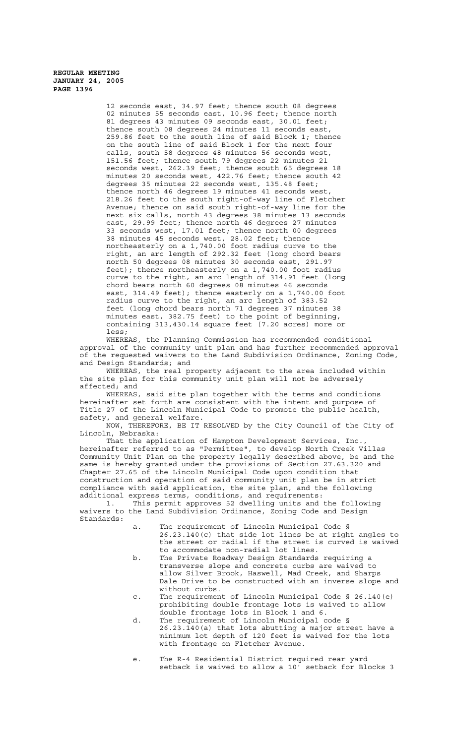> 12 seconds east, 34.97 feet; thence south 08 degrees 02 minutes 55 seconds east, 10.96 feet; thence north 81 degrees 43 minutes 09 seconds east, 30.01 feet; thence south 08 degrees 24 minutes 11 seconds east, 259.86 feet to the south line of said Block 1; thence on the south line of said Block 1 for the next four calls, south 58 degrees 48 minutes 56 seconds west, 151.56 feet; thence south 79 degrees 22 minutes 21 seconds west, 262.39 feet; thence south 65 degrees 18 minutes 20 seconds west, 422.76 feet; thence south 42 degrees 35 minutes 22 seconds west, 135.48 feet; thence north 46 degrees 19 minutes 41 seconds west, 218.26 feet to the south right-of-way line of Fletcher Avenue; thence on said south right-of-way line for the next six calls, north 43 degrees 38 minutes 13 seconds east, 29.99 feet; thence north 46 degrees 27 minutes 33 seconds west, 17.01 feet; thence north 00 degrees 38 minutes 45 seconds west, 28.02 feet; thence northeasterly on a 1,740.00 foot radius curve to the right, an arc length of 292.32 feet (long chord bears north 50 degrees 08 minutes 30 seconds east, 291.97 feet); thence northeasterly on a 1,740.00 foot radius curve to the right, an arc length of 314.91 feet (long chord bears north 60 degrees 08 minutes 46 seconds east, 314.49 feet); thence easterly on a 1,740.00 foot radius curve to the right, an arc length of 383.52 feet (long chord bears north 71 degrees 37 minutes 38 minutes east, 382.75 feet) to the point of beginning, containing 313,430.14 square feet (7.20 acres) more or less;

WHEREAS, the Planning Commission has recommended conditional approval of the community unit plan and has further recommended approval of the requested waivers to the Land Subdivision Ordinance, Zoning Code, and Design Standards; and

WHEREAS, the real property adjacent to the area included within the site plan for this community unit plan will not be adversely affected; and

WHEREAS, said site plan together with the terms and conditions hereinafter set forth are consistent with the intent and purpose of Title 27 of the Lincoln Municipal Code to promote the public health, safety, and general welfare.

NOW, THEREFORE, BE IT RESOLVED by the City Council of the City of Lincoln, Nebraska:

That the application of Hampton Development Services, Inc. hereinafter referred to as "Permittee", to develop North Creek Villas Community Unit Plan on the property legally described above, be and the same is hereby granted under the provisions of Section 27.63.320 and Chapter 27.65 of the Lincoln Municipal Code upon condition that construction and operation of said community unit plan be in strict compliance with said application, the site plan, and the following additional express terms, conditions, and requirements:<br>1. This permit approves 52 dwelling units and

This permit approves 52 dwelling units and the following waivers to the Land Subdivision Ordinance, Zoning Code and Design Standards:

- a. The requirement of Lincoln Municipal Code § 26.23.140(c) that side lot lines be at right angles to the street or radial if the street is curved is waived to accommodate non-radial lot lines.
- b. The Private Roadway Design Standards requiring a transverse slope and concrete curbs are waived to allow Silver Brook, Haswell, Mad Creek, and Sharps Dale Drive to be constructed with an inverse slope and without curbs.
- c. The requirement of Lincoln Municipal Code § 26.140(e) prohibiting double frontage lots is waived to allow double frontage lots in Block 1 and 6.
- d. The requirement of Lincoln Municipal code § 26.23.140(a) that lots abutting a major street have a minimum lot depth of 120 feet is waived for the lots with frontage on Fletcher Avenue.
- e. The R-4 Residential District required rear yard setback is waived to allow a 10' setback for Blocks 3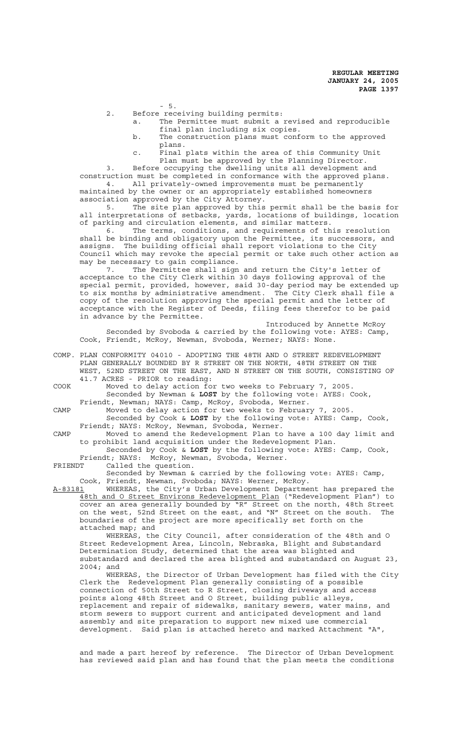- 5.

2. Before receiving building permits:

- a. The Permittee must submit a revised and reproducible final plan including six copies.
- b. The construction plans must conform to the approved plans.
- c. Final plats within the area of this Community Unit Plan must be approved by the Planning Director.

Before occupying the dwelling units all development and construction must be completed in conformance with the approved plans.

4. All privately-owned improvements must be permanently maintained by the owner or an appropriately established homeowners association approved by the City Attorney.

5. The site plan approved by this permit shall be the basis for all interpretations of setbacks, yards, locations of buildings, location of parking and circulation elements, and similar matters.

6. The terms, conditions, and requirements of this resolution shall be binding and obligatory upon the Permittee, its successors, and assigns. The building official shall report violations to the City Council which may revoke the special permit or take such other action as may be necessary to gain compliance.<br>7. The Permittee shall sign

The Permittee shall sign and return the City's letter of acceptance to the City Clerk within 30 days following approval of the special permit, provided, however, said 30-day period may be extended up to six months by administrative amendment. The City Clerk shall file a copy of the resolution approving the special permit and the letter of acceptance with the Register of Deeds, filing fees therefor to be paid in advance by the Permittee.

Introduced by Annette McRoy Seconded by Svoboda & carried by the following vote: AYES: Camp, Cook, Friendt, McRoy, Newman, Svoboda, Werner; NAYS: None.

COMP. PLAN CONFORMITY 04010 - ADOPTING THE 48TH AND O STREET REDEVELOPMENT PLAN GENERALLY BOUNDED BY R STREET ON THE NORTH, 48TH STREET ON THE WEST, 52ND STREET ON THE EAST, AND N STREET ON THE SOUTH, CONSISTING OF 41.7 ACRES - PRIOR to reading:

COOK Moved to delay action for two weeks to February 7, 2005. Seconded by Newman & **LOST** by the following vote: AYES: Cook, Friendt, Newman; NAYS: Camp, McRoy, Svoboda, Werner.

CAMP Moved to delay action for two weeks to February 7, 2005. Seconded by Cook & **LOST** by the following vote: AYES: Camp, Cook,

Friendt; NAYS: McRoy, Newman, Svoboda, Werner. CAMP Moved to amend the Redevelopment Plan to have a 100 day limit and

to prohibit land acquisition under the Redevelopment Plan. Seconded by Cook & **LOST** by the following vote: AYES: Camp, Cook,

Friendt; NAYS: McRoy, Newman, Svoboda, Werner.

FRIENDT Called the question.

Seconded by Newman & carried by the following vote: AYES: Camp, Cook, Friendt, Newman, Svoboda; NAYS: Werner, McRoy.

A-83181 WHEREAS, the City's Urban Development Department has prepared the 48th and O Street Environs Redevelopment Plan ("Redevelopment Plan") to cover an area generally bounded by "R" Street on the north, 48th Street on the west, 52nd Street on the east, and "N" Street on the south. The boundaries of the project are more specifically set forth on the attached map; and

WHEREAS, the City Council, after consideration of the 48th and O Street Redevelopment Area, Lincoln, Nebraska, Blight and Substandard Determination Study, determined that the area was blighted and substandard and declared the area blighted and substandard on August 23, 2004; and

WHEREAS, the Director of Urban Development has filed with the City Clerk the Redevelopment Plan generally consisting of a possible connection of 50th Street to R Street, closing driveways and access points along 48th Street and O Street, building public alleys, replacement and repair of sidewalks, sanitary sewers, water mains, and storm sewers to support current and anticipated development and land assembly and site preparation to support new mixed use commercial development. Said plan is attached hereto and marked Attachment "A",

and made a part hereof by reference. The Director of Urban Development has reviewed said plan and has found that the plan meets the conditions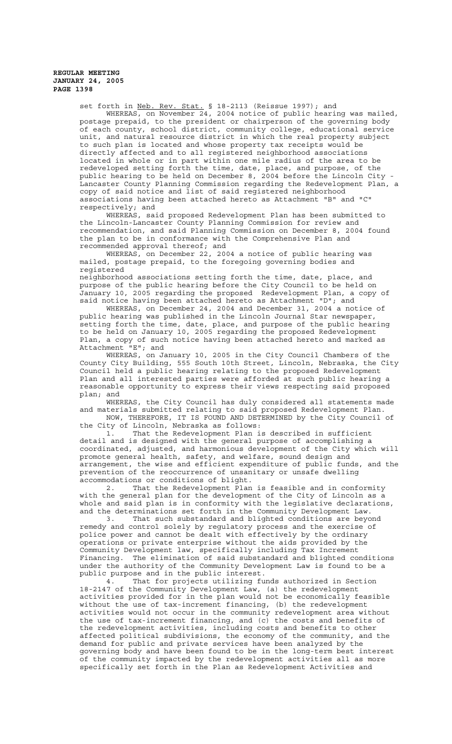set forth in Neb. Rev. Stat. § 18-2113 (Reissue 1997); and WHEREAS, on November 24, 2004 notice of public hearing was mailed, postage prepaid, to the president or chairperson of the governing body of each county, school district, community college, educational service unit, and natural resource district in which the real property subject to such plan is located and whose property tax receipts would be directly affected and to all registered neighborhood associations located in whole or in part within one mile radius of the area to be redeveloped setting forth the time, date, place, and purpose, of the public hearing to be held on December 8, 2004 before the Lincoln City - .<br>Lancaster County Planning Commission regarding the Redevelopment Plan, a copy of said notice and list of said registered neighborhood associations having been attached hereto as Attachment "B" and "C" respectively; and

WHEREAS, said proposed Redevelopment Plan has been submitted to the Lincoln-Lancaster County Planning Commission for review and recommendation, and said Planning Commission on December 8, 2004 found the plan to be in conformance with the Comprehensive Plan and recommended approval thereof; and

WHEREAS, on December 22, 2004 a notice of public hearing was mailed, postage prepaid, to the foregoing governing bodies and registered neighborhood associations setting forth the time, date, place, and

purpose of the public hearing before the City Council to be held on January 10, 2005 regarding the proposed Redevelopment Plan, a copy of said notice having been attached hereto as Attachment "D"; and WHEREAS, on December 24, 2004 and December 31, 2004 a notice of

public hearing was published in the Lincoln Journal Star newspaper, setting forth the time, date, place, and purpose of the public hearing to be held on January 10, 2005 regarding the proposed Redevelopment Plan, a copy of such notice having been attached hereto and marked as<br>Attachment "E"; and Attachment

WHEREAS, on January 10, 2005 in the City Council Chambers of the County City Building, 555 South 10th Street, Lincoln, Nebraska, the City Council held a public hearing relating to the proposed Redevelopment Plan and all interested parties were afforded at such public hearing a reasonable opportunity to express their views respecting said proposed plan; and

WHEREAS, the City Council has duly considered all statements made and materials submitted relating to said proposed Redevelopment Plan. NOW, THEREFORE, IT IS FOUND AND DETERMINED by the City Council of

the City of Lincoln, Nebraska as follows: 1. That the Redevelopment Plan is described in sufficient

detail and is designed with the general purpose of accomplishing a coordinated, adjusted, and harmonious development of the City which will promote general health, safety, and welfare, sound design and arrangement, the wise and efficient expenditure of public funds, and the prevention of the reoccurrence of unsanitary or unsafe dwelling accommodations or conditions of blight.

2. That the Redevelopment Plan is feasible and in conformity with the general plan for the development of the City of Lincoln as a whole and said plan is in conformity with the legislative declarations, and the determinations set forth in the Community Development Law.

3. That such substandard and blighted conditions are beyond remedy and control solely by regulatory process and the exercise of police power and cannot be dealt with effectively by the ordinary operations or private enterprise without the aids provided by the Community Development law, specifically including Tax Increment Financing. The elimination of said substandard and blighted conditions under the authority of the Community Development Law is found to be a public purpose and in the public interest.

4. That for projects utilizing funds authorized in Section 18-2147 of the Community Development Law, (a) the redevelopment activities provided for in the plan would not be economically feasible without the use of tax-increment financing, (b) the redevelopment activities would not occur in the community redevelopment area without the use of tax-increment financing, and (c) the costs and benefits of the redevelopment activities, including costs and benefits to other affected political subdivisions, the economy of the community, and the demand for public and private services have been analyzed by the governing body and have been found to be in the long-term best interest of the community impacted by the redevelopment activities all as more specifically set forth in the Plan as Redevelopment Activities and